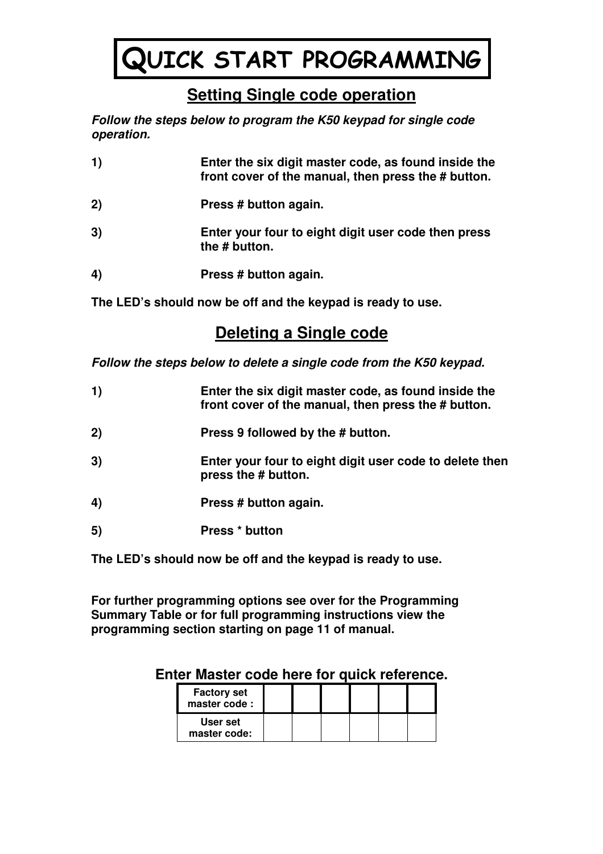# QUICK START PROGRAMMING

# **Setting Single code operation**

**Follow the steps below to program the K50 keypad for single code operation.** 

| 1) | Enter the six digit master code, as found inside the<br>front cover of the manual, then press the # button. |
|----|-------------------------------------------------------------------------------------------------------------|
| 2) | Press # button again.                                                                                       |
| 3) | Enter your four to eight digit user code then press<br>the # button.                                        |
| 4) | Press # button again.                                                                                       |

**The LED's should now be off and the keypad is ready to use.** 

# **Deleting a Single code**

**Follow the steps below to delete a single code from the K50 keypad.** 

| 1) | Enter the six digit master code, as found inside the<br>front cover of the manual, then press the # button. |
|----|-------------------------------------------------------------------------------------------------------------|
| 2) | Press 9 followed by the # button.                                                                           |
| 3) | Enter your four to eight digit user code to delete then<br>press the # button.                              |
| 4) | Press # button again.                                                                                       |
| 5) | Press * button                                                                                              |
|    |                                                                                                             |

**The LED's should now be off and the keypad is ready to use.** 

**For further programming options see over for the Programming Summary Table or for full programming instructions view the programming section starting on page 11 of manual.** 

| <b>Factory set</b><br>master code: |  |  |  |
|------------------------------------|--|--|--|
| User set<br>master code:           |  |  |  |

# **Enter Master code here for quick reference.**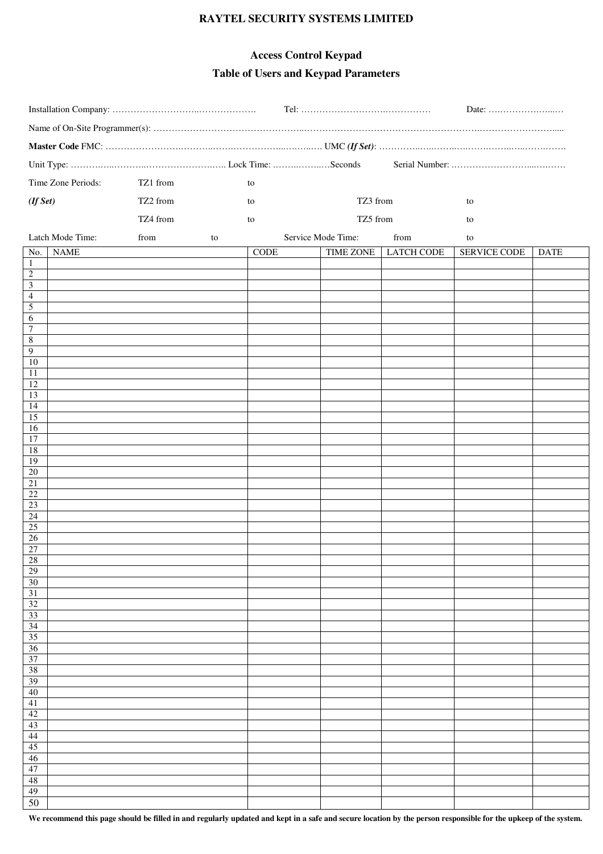#### **RAYTEL SECURITY SYSTEMS LIMITED**

# **Access Control Keypad Table of Users and Keypad Parameters**

|                                    |                    |          |    |      |                    |                   | Date:               |             |
|------------------------------------|--------------------|----------|----|------|--------------------|-------------------|---------------------|-------------|
|                                    |                    |          |    |      |                    |                   |                     |             |
|                                    |                    |          |    |      |                    |                   |                     |             |
|                                    |                    |          |    |      |                    |                   |                     |             |
|                                    | Time Zone Periods: | TZ1 from |    | to   |                    |                   |                     |             |
| (If Set)                           |                    | TZ2 from |    | to   | TZ3 from           |                   | to                  |             |
|                                    |                    | TZ4 from |    | to   | TZ5 from           |                   | to                  |             |
|                                    | Latch Mode Time:   | from     | to |      | Service Mode Time: | from              | to                  |             |
| No.                                | <b>NAME</b>        |          |    | CODE | TIME ZONE          | <b>LATCH CODE</b> | <b>SERVICE CODE</b> | <b>DATE</b> |
| $\mathbf{1}$                       |                    |          |    |      |                    |                   |                     |             |
| $\frac{2}{3}$                      |                    |          |    |      |                    |                   |                     |             |
| $\frac{4}{5}$ $\frac{6}{7}$        |                    |          |    |      |                    |                   |                     |             |
|                                    |                    |          |    |      |                    |                   |                     |             |
| $\sqrt{8}$                         |                    |          |    |      |                    |                   |                     |             |
| $\overline{9}$                     |                    |          |    |      |                    |                   |                     |             |
| $10\,$<br>11                       |                    |          |    |      |                    |                   |                     |             |
| 12                                 |                    |          |    |      |                    |                   |                     |             |
| $\overline{13}$<br>$\overline{14}$ |                    |          |    |      |                    |                   |                     |             |
| 15                                 |                    |          |    |      |                    |                   |                     |             |
| 16                                 |                    |          |    |      |                    |                   |                     |             |
| 17<br>$\overline{18}$              |                    |          |    |      |                    |                   |                     |             |
| $\overline{19}$                    |                    |          |    |      |                    |                   |                     |             |
| $\overline{20}$<br>21              |                    |          |    |      |                    |                   |                     |             |
| 22                                 |                    |          |    |      |                    |                   |                     |             |
| 23                                 |                    |          |    |      |                    |                   |                     |             |
| 24<br>$\overline{25}$              |                    |          |    |      |                    |                   |                     |             |
| $26\,$                             |                    |          |    |      |                    |                   |                     |             |
| $\overline{27}$<br>28              |                    |          |    |      |                    |                   |                     |             |
| 29                                 |                    |          |    |      |                    |                   |                     |             |
| $\overline{30}$<br>31              |                    |          |    |      |                    |                   |                     |             |
| $\overline{32}$                    |                    |          |    |      |                    |                   |                     |             |
| 33<br>$\overline{34}$              |                    |          |    |      |                    |                   |                     |             |
| 35                                 |                    |          |    |      |                    |                   |                     |             |
| 36                                 |                    |          |    |      |                    |                   |                     |             |
| $\overline{37}$<br>38              |                    |          |    |      |                    |                   |                     |             |
| 39                                 |                    |          |    |      |                    |                   |                     |             |
| 40<br>41                           |                    |          |    |      |                    |                   |                     |             |
| 42                                 |                    |          |    |      |                    |                   |                     |             |
| 43<br>44                           |                    |          |    |      |                    |                   |                     |             |
| $\overline{45}$                    |                    |          |    |      |                    |                   |                     |             |
| 46                                 |                    |          |    |      |                    |                   |                     |             |
| 47<br>48                           |                    |          |    |      |                    |                   |                     |             |
| 49                                 |                    |          |    |      |                    |                   |                     |             |
| 50                                 |                    |          |    |      |                    |                   |                     |             |

We recommend this page should be filled in and regularly updated and kept in a safe and secure location by the person responsible for the upkeep of the system.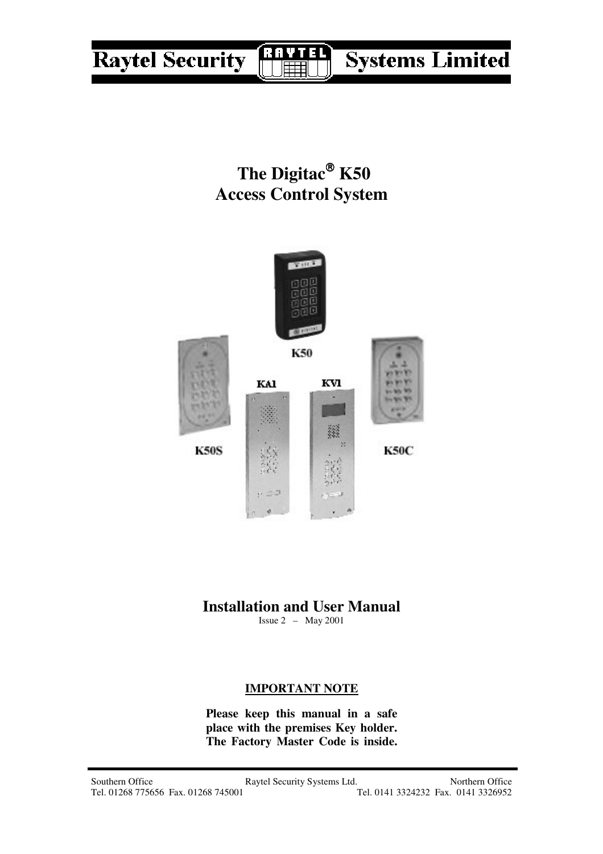#### **Systems Limited Raytel Security** R

The Digitac<sup>®</sup> K50 **Access Control System**



# **Installation and User Manual**

Issue 2 – May 2001

# **IMPORTANT NOTE**

**Please keep this manual in a safe place with the premises Key holder. The Factory Master Code is inside.**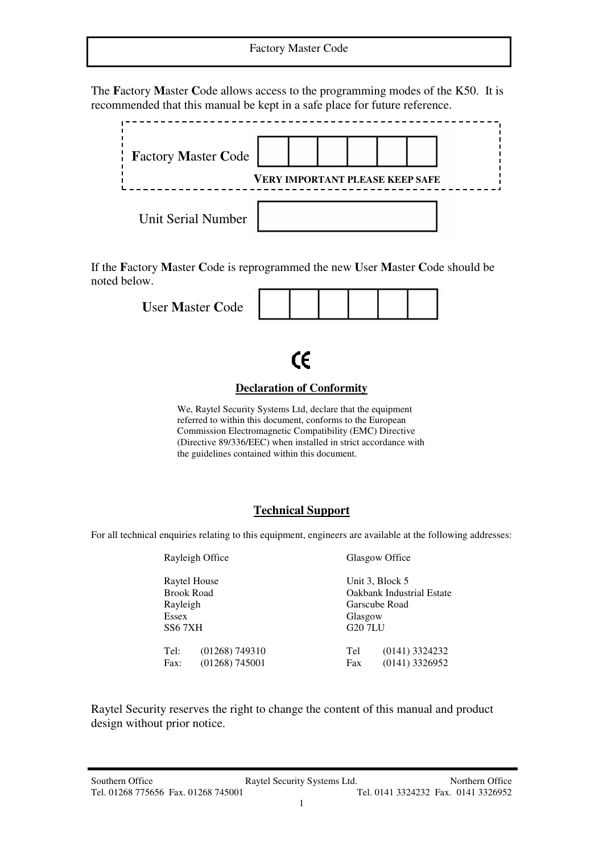The **F**actory **M**aster **C**ode allows access to the programming modes of the K50. It is recommended that this manual be kept in a safe place for future reference.



If the **F**actory **M**aster **C**ode is reprogrammed the new **U**ser **M**aster **C**ode should be noted below.

| <b>User Master Code</b> |  |  |  |  |  |
|-------------------------|--|--|--|--|--|
|-------------------------|--|--|--|--|--|

CE

#### **Declaration of Conformity**

We, Raytel Security Systems Ltd, declare that the equipment referred to within this document, conforms to the European Commission Electromagnetic Compatibility (EMC) Directive (Directive 89/336/EEC) when installed in strict accordance with the guidelines contained within this document.

#### **Technical Support**

For all technical enquiries relating to this equipment, engineers are available at the following addresses:

Rayleigh Office Glasgow Office

Essex Glasgow<br>SS6 7XH G20 7LU

Raytel House Unit 3, Block 5<br>Brook Road Oakbank Indust Brook Road Cakbank Industrial Estate<br>
Rayleigh Garscube Road Garscube Road G20 7LU

Tel: (01268) 749310 Tel (0141) 3324232 Fax: (01268) 745001 Fax (0141) 3326952

Raytel Security reserves the right to change the content of this manual and product design without prior notice.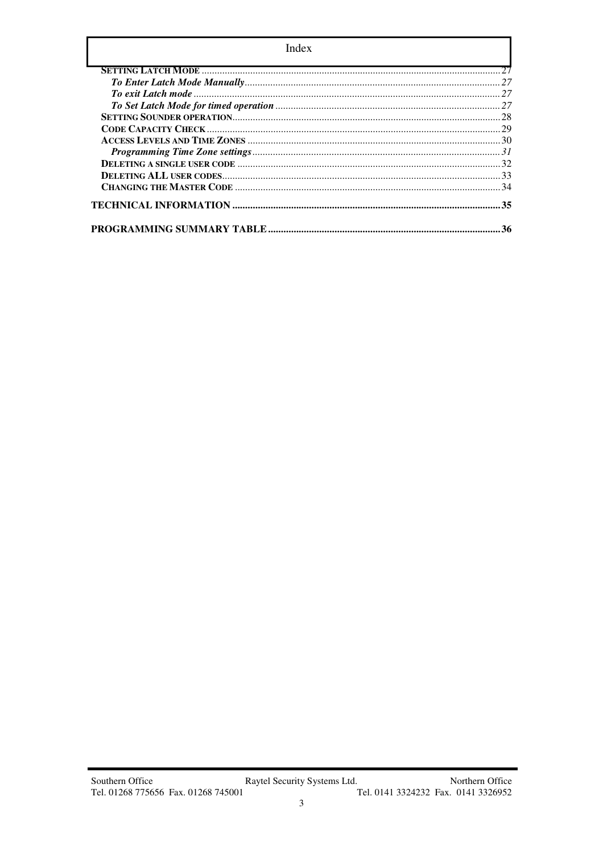| Index |    |  |
|-------|----|--|
|       |    |  |
|       | 27 |  |
|       |    |  |
|       |    |  |
|       |    |  |
|       |    |  |
|       |    |  |
|       |    |  |
|       |    |  |
|       |    |  |
|       |    |  |
|       |    |  |
|       | 36 |  |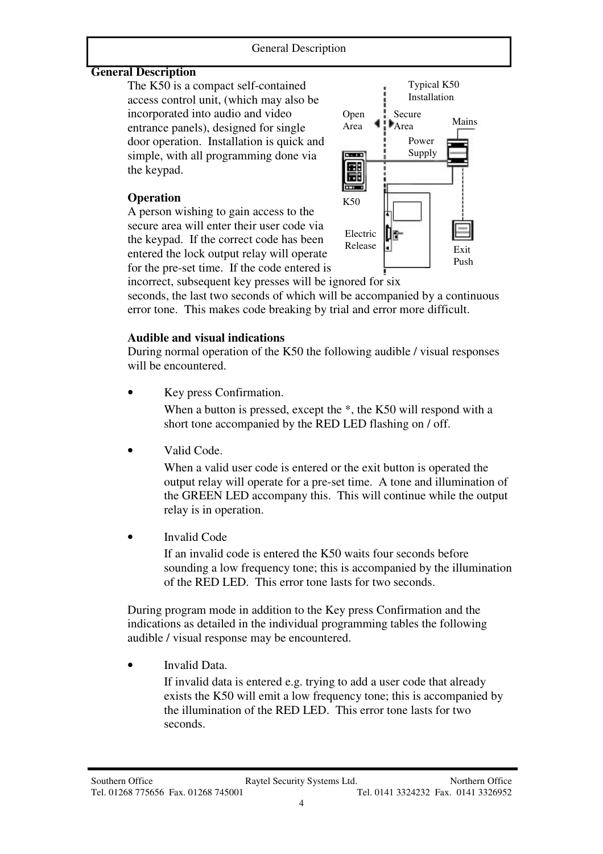#### **General Description**

The K50 is a compact self-contained access control unit, (which may also be incorporated into audio and video entrance panels), designed for single door operation. Installation is quick and simple, with all programming done via the keypad.

# **Operation**

 A person wishing to gain access to the secure area will enter their user code via the keypad. If the correct code has been entered the lock output relay will operate for the pre-set time. If the code entered is



incorrect, subsequent key presses will be ignored for six seconds, the last two seconds of which will be accompanied by a continuous error tone. This makes code breaking by trial and error more difficult.

# **Audible and visual indications**

During normal operation of the K50 the following audible / visual responses will be encountered.

Key press Confirmation.

When a button is pressed, except the  $*$ , the K50 will respond with a short tone accompanied by the RED LED flashing on / off.

Valid Code.

When a valid user code is entered or the exit button is operated the output relay will operate for a pre-set time. A tone and illumination of the GREEN LED accompany this. This will continue while the output relay is in operation.

Invalid Code

If an invalid code is entered the K50 waits four seconds before sounding a low frequency tone; this is accompanied by the illumination of the RED LED. This error tone lasts for two seconds.

During program mode in addition to the Key press Confirmation and the indications as detailed in the individual programming tables the following audible / visual response may be encountered.

Invalid Data.

If invalid data is entered e.g. trying to add a user code that already exists the K50 will emit a low frequency tone; this is accompanied by the illumination of the RED LED. This error tone lasts for two seconds.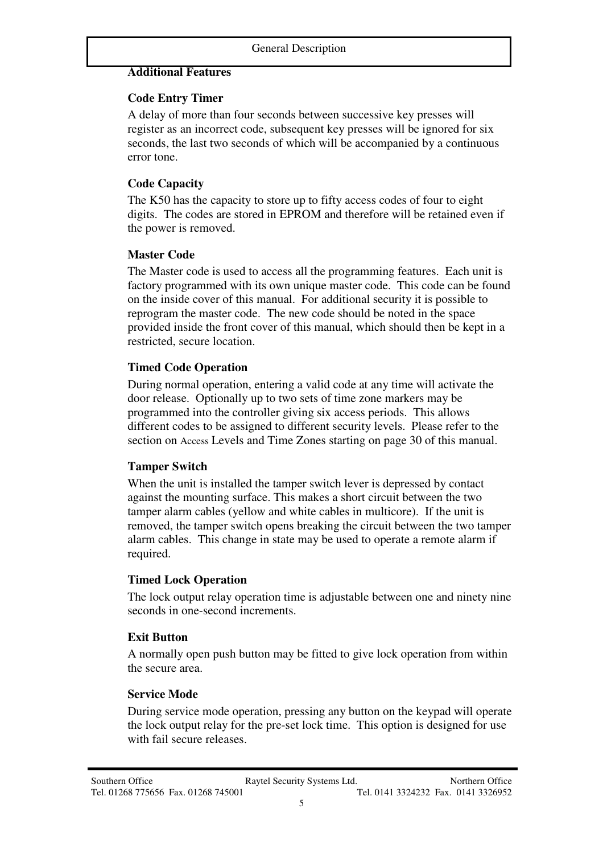#### **Additional Features**

#### **Code Entry Timer**

A delay of more than four seconds between successive key presses will register as an incorrect code, subsequent key presses will be ignored for six seconds, the last two seconds of which will be accompanied by a continuous error tone.

# **Code Capacity**

The K50 has the capacity to store up to fifty access codes of four to eight digits. The codes are stored in EPROM and therefore will be retained even if the power is removed.

### **Master Code**

The Master code is used to access all the programming features. Each unit is factory programmed with its own unique master code. This code can be found on the inside cover of this manual. For additional security it is possible to reprogram the master code. The new code should be noted in the space provided inside the front cover of this manual, which should then be kept in a restricted, secure location.

# **Timed Code Operation**

During normal operation, entering a valid code at any time will activate the door release. Optionally up to two sets of time zone markers may be programmed into the controller giving six access periods. This allows different codes to be assigned to different security levels. Please refer to the section on Access Levels and Time Zones starting on page 30 of this manual.

#### **Tamper Switch**

When the unit is installed the tamper switch lever is depressed by contact against the mounting surface. This makes a short circuit between the two tamper alarm cables (yellow and white cables in multicore). If the unit is removed, the tamper switch opens breaking the circuit between the two tamper alarm cables. This change in state may be used to operate a remote alarm if required.

#### **Timed Lock Operation**

The lock output relay operation time is adjustable between one and ninety nine seconds in one-second increments.

# **Exit Button**

A normally open push button may be fitted to give lock operation from within the secure area.

#### **Service Mode**

During service mode operation, pressing any button on the keypad will operate the lock output relay for the pre-set lock time. This option is designed for use with fail secure releases.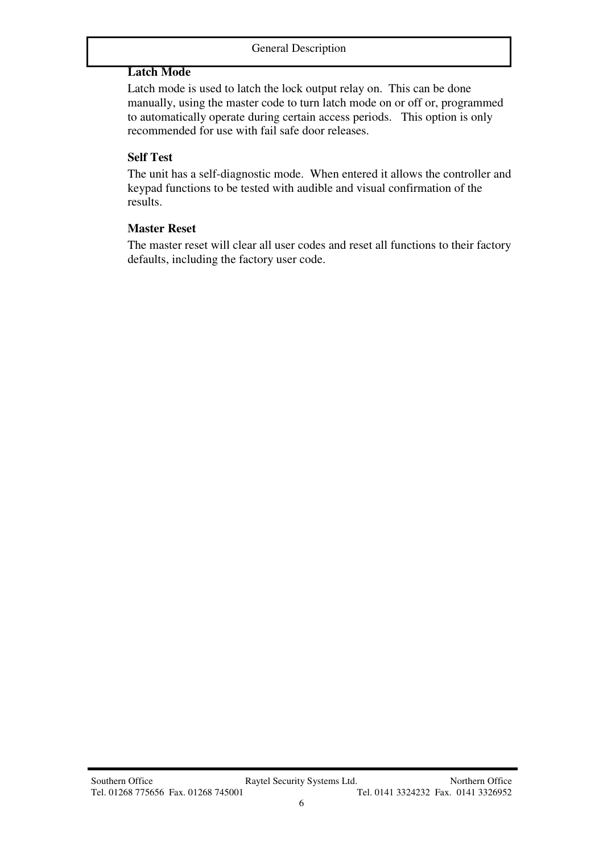# **Latch Mode**

Latch mode is used to latch the lock output relay on. This can be done manually, using the master code to turn latch mode on or off or, programmed to automatically operate during certain access periods. This option is only recommended for use with fail safe door releases.

#### **Self Test**

The unit has a self-diagnostic mode. When entered it allows the controller and keypad functions to be tested with audible and visual confirmation of the results.

#### **Master Reset**

The master reset will clear all user codes and reset all functions to their factory defaults, including the factory user code.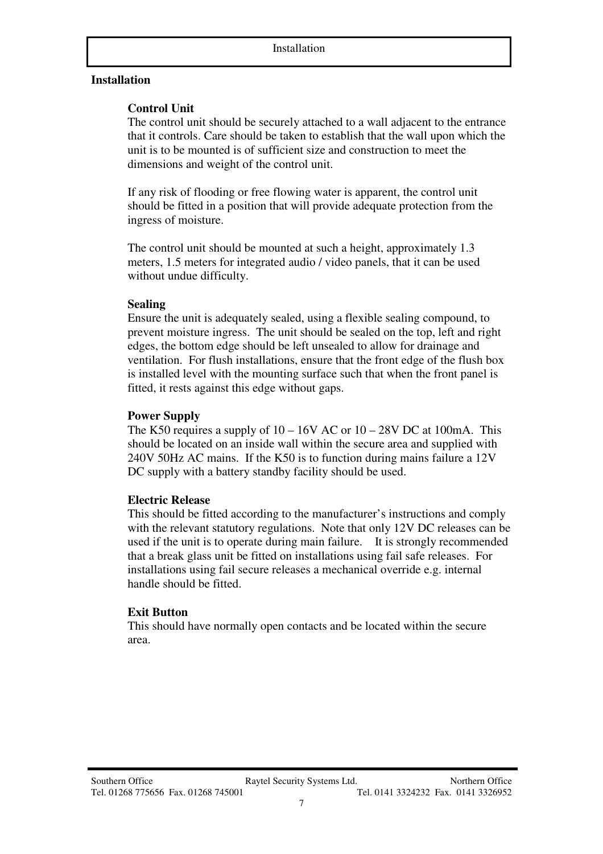#### **Installation**

#### **Control Unit**

The control unit should be securely attached to a wall adjacent to the entrance that it controls. Care should be taken to establish that the wall upon which the unit is to be mounted is of sufficient size and construction to meet the dimensions and weight of the control unit.

If any risk of flooding or free flowing water is apparent, the control unit should be fitted in a position that will provide adequate protection from the ingress of moisture.

 The control unit should be mounted at such a height, approximately 1.3 meters, 1.5 meters for integrated audio / video panels, that it can be used without undue difficulty.

#### **Sealing**

Ensure the unit is adequately sealed, using a flexible sealing compound, to prevent moisture ingress. The unit should be sealed on the top, left and right edges, the bottom edge should be left unsealed to allow for drainage and ventilation. For flush installations, ensure that the front edge of the flush box is installed level with the mounting surface such that when the front panel is fitted, it rests against this edge without gaps.

#### **Power Supply**

The K50 requires a supply of  $10 - 16V$  AC or  $10 - 28V$  DC at 100mA. This should be located on an inside wall within the secure area and supplied with 240V 50Hz AC mains. If the K50 is to function during mains failure a 12V DC supply with a battery standby facility should be used.

#### **Electric Release**

This should be fitted according to the manufacturer's instructions and comply with the relevant statutory regulations. Note that only 12V DC releases can be used if the unit is to operate during main failure. It is strongly recommended that a break glass unit be fitted on installations using fail safe releases. For installations using fail secure releases a mechanical override e.g. internal handle should be fitted.

#### **Exit Button**

This should have normally open contacts and be located within the secure area.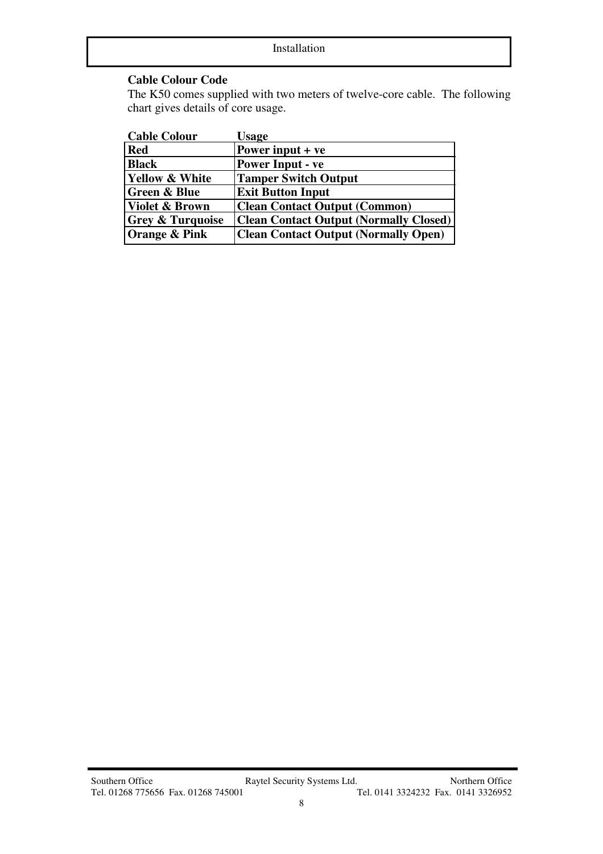#### **Cable Colour Code**

The K50 comes supplied with two meters of twelve-core cable. The following chart gives details of core usage.

| <b>Cable Colour</b>         | <b>Usage</b>                                  |
|-----------------------------|-----------------------------------------------|
| <b>Red</b>                  | Power input $+ve$                             |
| <b>Black</b>                | <b>Power Input - ve</b>                       |
| <b>Yellow &amp; White</b>   | <b>Tamper Switch Output</b>                   |
| <b>Green &amp; Blue</b>     | <b>Exit Button Input</b>                      |
| <b>Violet &amp; Brown</b>   | <b>Clean Contact Output (Common)</b>          |
| <b>Grey &amp; Turquoise</b> | <b>Clean Contact Output (Normally Closed)</b> |
| Orange & Pink               | <b>Clean Contact Output (Normally Open)</b>   |
|                             |                                               |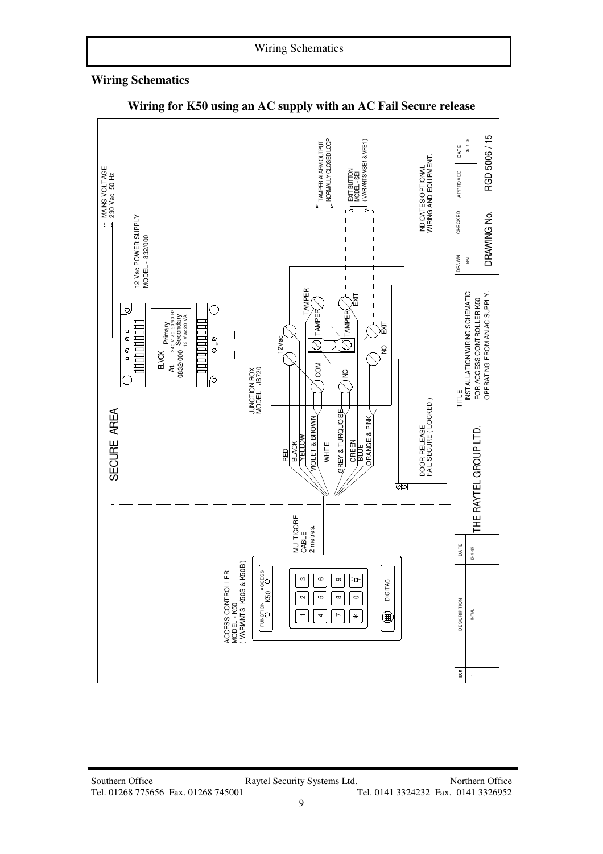#### **Wiring Schematics**



#### **Wiring for K50 using an AC supply with an AC Fail Secure release**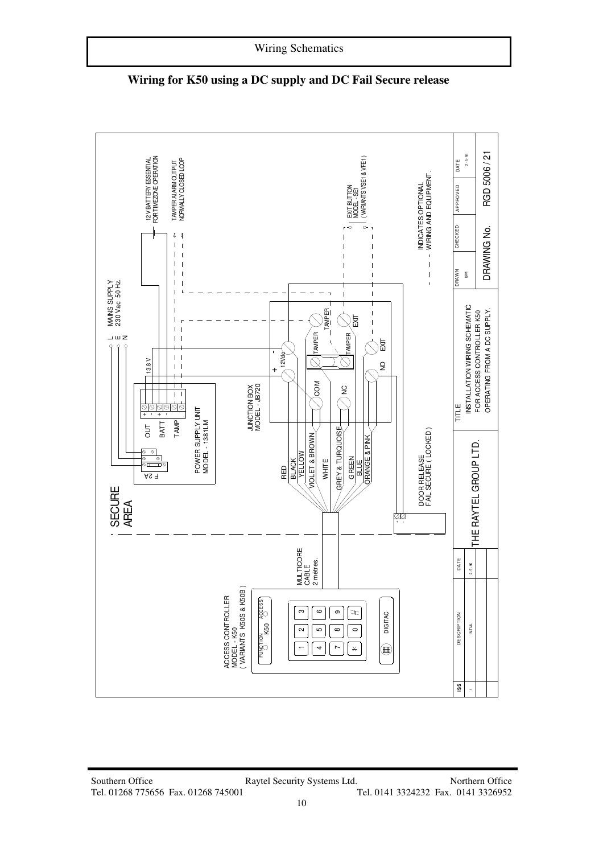

**Wiring for K50 using a DC supply and DC Fail Secure release**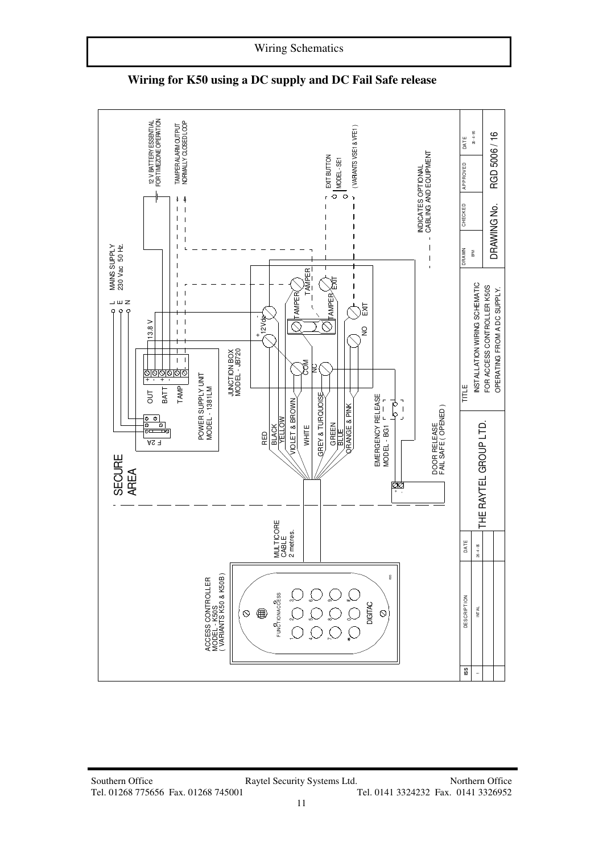

**Wiring for K50 using a DC supply and DC Fail Safe release**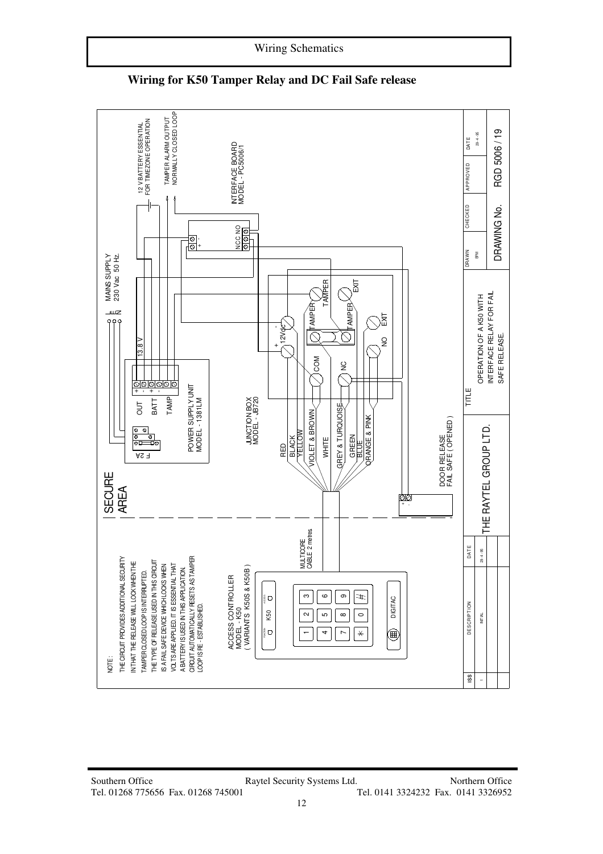

**Wiring for K50 Tamper Relay and DC Fail Safe release** 

Wiring Schematics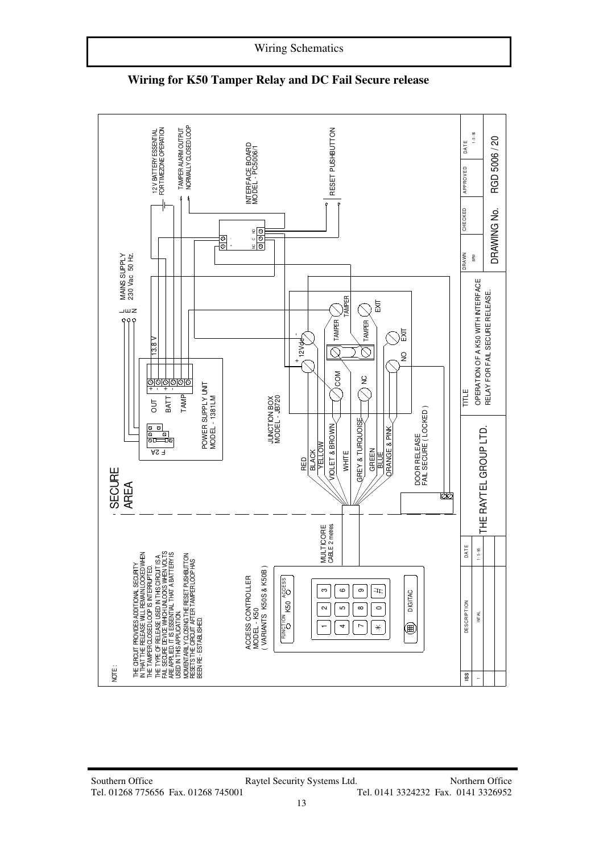

**Wiring for K50 Tamper Relay and DC Fail Secure release**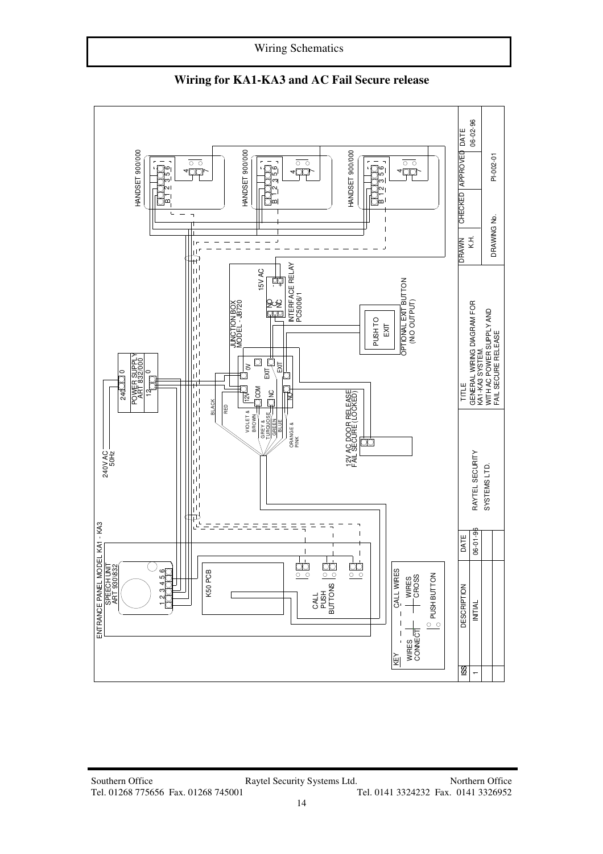

**Wiring for KA1-KA3 and AC Fail Secure release**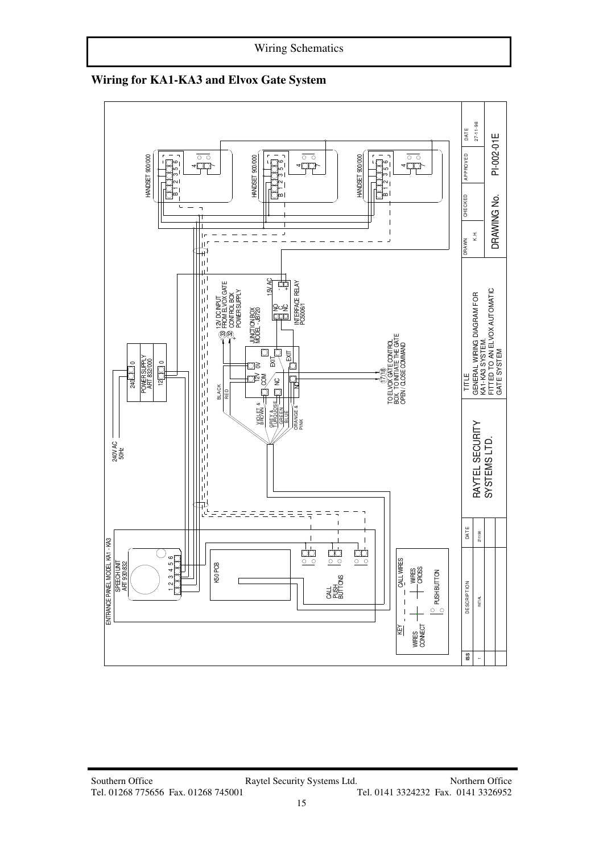

**Wiring for KA1-KA3 and Elvox Gate System**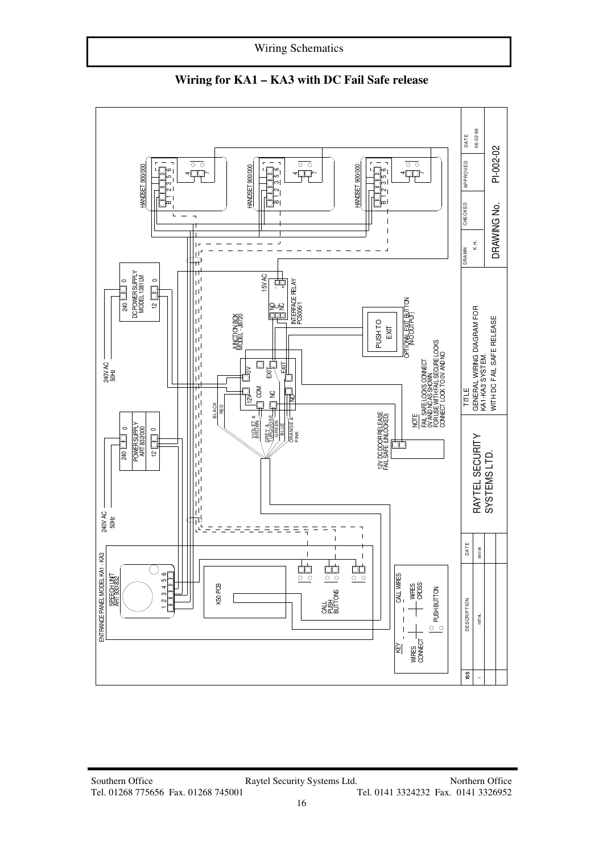Wiring Schematics



**Wiring for KA1 – KA3 with DC Fail Safe release**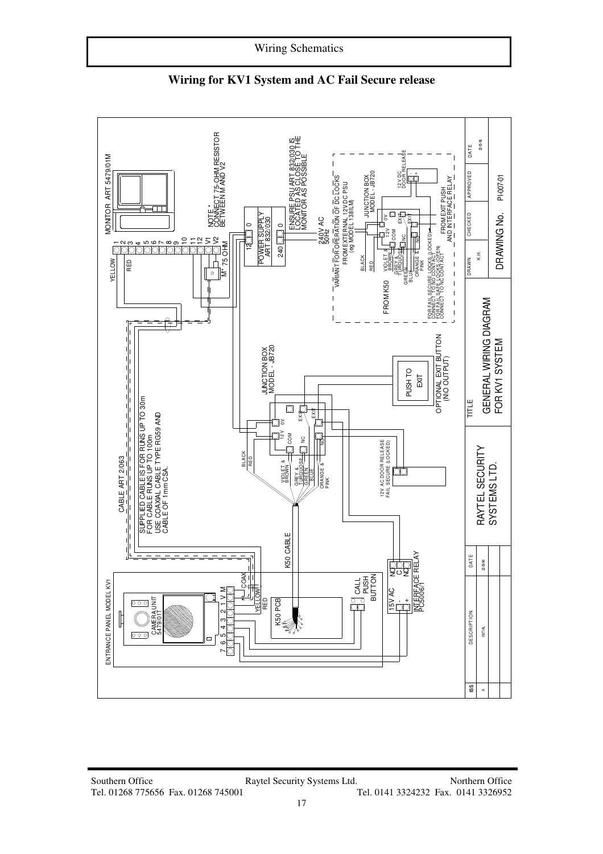

**Wiring for KV1 System and AC Fail Secure release**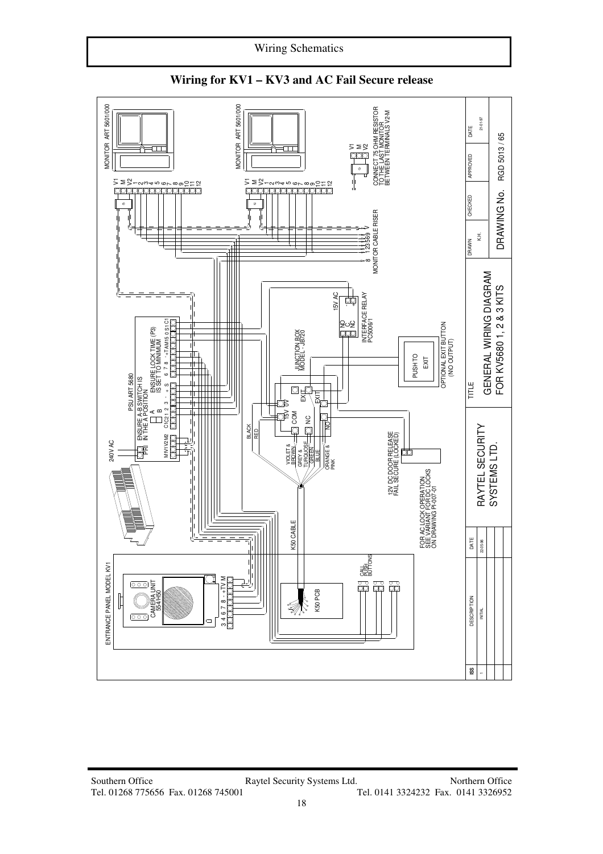



#### **Wiring for KV1 – KV3 and AC Fail Secure release**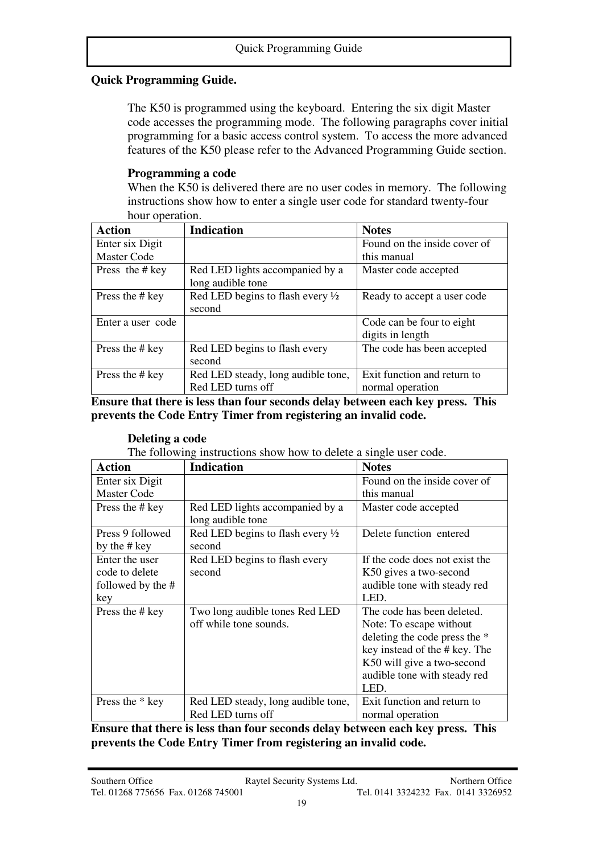### **Quick Programming Guide.**

The K50 is programmed using the keyboard. Entering the six digit Master code accesses the programming mode. The following paragraphs cover initial programming for a basic access control system. To access the more advanced features of the K50 please refer to the Advanced Programming Guide section.

#### **Programming a code**

When the K50 is delivered there are no user codes in memory. The following instructions show how to enter a single user code for standard twenty-four hour operation.

| <b>Action</b>      | <b>Indication</b>                           | <b>Notes</b>                 |
|--------------------|---------------------------------------------|------------------------------|
| Enter six Digit    |                                             | Found on the inside cover of |
| <b>Master Code</b> |                                             | this manual                  |
| Press the # key    | Red LED lights accompanied by a             | Master code accepted         |
|                    | long audible tone                           |                              |
| Press the # key    | Red LED begins to flash every $\frac{1}{2}$ | Ready to accept a user code  |
|                    | second                                      |                              |
| Enter a user code  |                                             | Code can be four to eight    |
|                    |                                             | digits in length             |
| Press the # key    | Red LED begins to flash every               | The code has been accepted   |
|                    | second                                      |                              |
| Press the # key    | Red LED steady, long audible tone,          | Exit function and return to  |
|                    | Red LED turns off                           | normal operation             |

**Ensure that there is less than four seconds delay between each key press. This prevents the Code Entry Timer from registering an invalid code.** 

#### **Deleting a code**

The following instructions show how to delete a single user code.

| <b>Action</b>                                                                       | <b>Indication</b>                                     | <b>Notes</b>                   |  |
|-------------------------------------------------------------------------------------|-------------------------------------------------------|--------------------------------|--|
| Enter six Digit                                                                     |                                                       | Found on the inside cover of   |  |
| <b>Master Code</b>                                                                  |                                                       | this manual                    |  |
| Press the # key                                                                     | Red LED lights accompanied by a<br>long audible tone  | Master code accepted           |  |
| Press 9 followed<br>by the # key                                                    | Red LED begins to flash every $\frac{1}{2}$<br>second | Delete function entered        |  |
| Enter the user                                                                      | Red LED begins to flash every                         | If the code does not exist the |  |
| code to delete                                                                      | second                                                | K50 gives a two-second         |  |
| followed by the #                                                                   |                                                       | audible tone with steady red   |  |
| key                                                                                 |                                                       | LED.                           |  |
| Press the # key                                                                     | Two long audible tones Red LED                        | The code has been deleted.     |  |
|                                                                                     | off while tone sounds.                                | Note: To escape without        |  |
|                                                                                     |                                                       | deleting the code press the *  |  |
|                                                                                     |                                                       | key instead of the # key. The  |  |
|                                                                                     |                                                       | K50 will give a two-second     |  |
|                                                                                     |                                                       | audible tone with steady red   |  |
|                                                                                     |                                                       | LED.                           |  |
| Press the * key                                                                     | Red LED steady, long audible tone,                    | Exit function and return to    |  |
|                                                                                     | Red LED turns off                                     | normal operation               |  |
| Engrupa that thoma is loss thom form seconds delay hotwoon cook hay nugge<br>TL : . |                                                       |                                |  |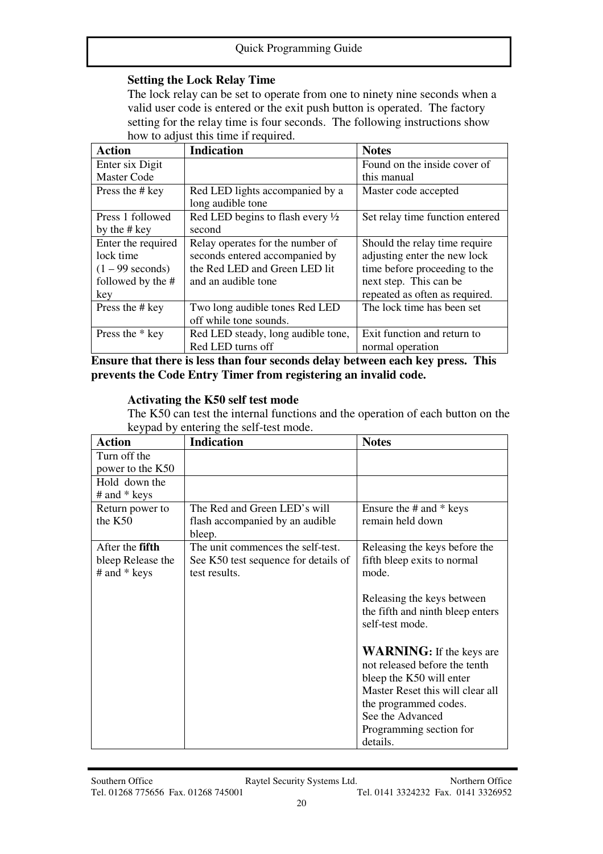### **Setting the Lock Relay Time**

The lock relay can be set to operate from one to ninety nine seconds when a valid user code is entered or the exit push button is operated. The factory setting for the relay time is four seconds. The following instructions show how to adjust this time if required.

| <b>Action</b>      | <b>Indication</b>                  | <b>Notes</b>                    |
|--------------------|------------------------------------|---------------------------------|
| Enter six Digit    |                                    | Found on the inside cover of    |
| <b>Master Code</b> |                                    | this manual                     |
| Press the # key    | Red LED lights accompanied by a    | Master code accepted            |
|                    | long audible tone                  |                                 |
| Press 1 followed   | Red LED begins to flash every 1/2  | Set relay time function entered |
| by the # key       | second                             |                                 |
| Enter the required | Relay operates for the number of   | Should the relay time require   |
| lock time          | seconds entered accompanied by     | adjusting enter the new lock    |
| $(1 - 99$ seconds) | the Red LED and Green LED lit      | time before proceeding to the   |
| followed by the #  | and an audible tone                | next step. This can be          |
| key                |                                    | repeated as often as required.  |
| Press the # key    | Two long audible tones Red LED     | The lock time has been set      |
|                    | off while tone sounds.             |                                 |
| Press the * key    | Red LED steady, long audible tone, | Exit function and return to     |
|                    | Red LED turns off                  | normal operation                |

**Ensure that there is less than four seconds delay between each key press. This prevents the Code Entry Timer from registering an invalid code.**

#### **Activating the K50 self test mode**

The K50 can test the internal functions and the operation of each button on the keypad by entering the self-test mode.

| <b>Action</b>     | <b>Indication</b>                    | <b>Notes</b>                                                                                                                                                                                                         |
|-------------------|--------------------------------------|----------------------------------------------------------------------------------------------------------------------------------------------------------------------------------------------------------------------|
| Turn off the      |                                      |                                                                                                                                                                                                                      |
| power to the K50  |                                      |                                                                                                                                                                                                                      |
| Hold down the     |                                      |                                                                                                                                                                                                                      |
| # and * keys      |                                      |                                                                                                                                                                                                                      |
| Return power to   | The Red and Green LED's will         | Ensure the $#$ and $*$ keys                                                                                                                                                                                          |
| the K50           | flash accompanied by an audible      | remain held down                                                                                                                                                                                                     |
|                   | bleep.                               |                                                                                                                                                                                                                      |
| After the fifth   | The unit commences the self-test.    | Releasing the keys before the                                                                                                                                                                                        |
| bleep Release the | See K50 test sequence for details of | fifth bleep exits to normal                                                                                                                                                                                          |
| # and * keys      | test results.                        | mode.                                                                                                                                                                                                                |
|                   |                                      | Releasing the keys between<br>the fifth and ninth bleep enters<br>self-test mode.                                                                                                                                    |
|                   |                                      | <b>WARNING:</b> If the keys are<br>not released before the tenth<br>bleep the K50 will enter<br>Master Reset this will clear all<br>the programmed codes.<br>See the Advanced<br>Programming section for<br>details. |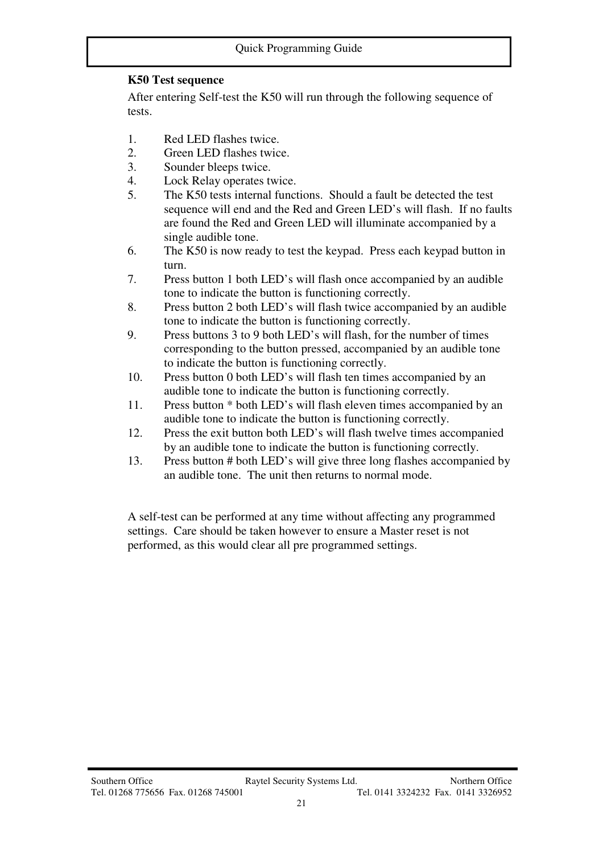# **K50 Test sequence**

After entering Self-test the K50 will run through the following sequence of tests.

- 1. Red LED flashes twice.
- 2. Green LED flashes twice.
- 3. Sounder bleeps twice.
- 4. Lock Relay operates twice.
- 5. The K50 tests internal functions. Should a fault be detected the test sequence will end and the Red and Green LED's will flash. If no faults are found the Red and Green LED will illuminate accompanied by a single audible tone.
- 6. The K50 is now ready to test the keypad. Press each keypad button in turn.
- 7. Press button 1 both LED's will flash once accompanied by an audible tone to indicate the button is functioning correctly.
- 8. Press button 2 both LED's will flash twice accompanied by an audible tone to indicate the button is functioning correctly.
- 9. Press buttons 3 to 9 both LED's will flash, for the number of times corresponding to the button pressed, accompanied by an audible tone to indicate the button is functioning correctly.
- 10. Press button 0 both LED's will flash ten times accompanied by an audible tone to indicate the button is functioning correctly.
- 11. Press button \* both LED's will flash eleven times accompanied by an audible tone to indicate the button is functioning correctly.
- 12. Press the exit button both LED's will flash twelve times accompanied by an audible tone to indicate the button is functioning correctly.
- 13. Press button # both LED's will give three long flashes accompanied by an audible tone. The unit then returns to normal mode.

A self-test can be performed at any time without affecting any programmed settings. Care should be taken however to ensure a Master reset is not performed, as this would clear all pre programmed settings.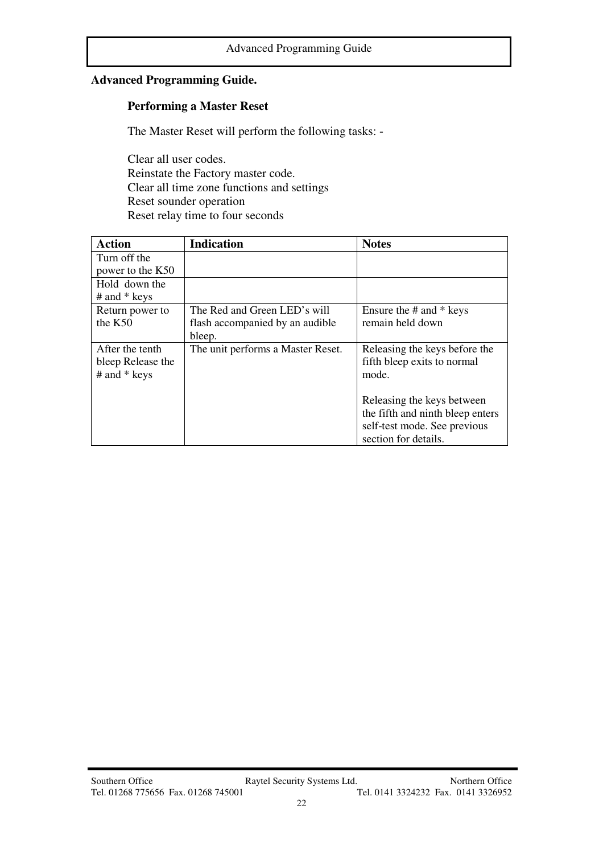# **Advanced Programming Guide.**

#### **Performing a Master Reset**

The Master Reset will perform the following tasks: -

Clear all user codes. Reinstate the Factory master code. Clear all time zone functions and settings Reset sounder operation Reset relay time to four seconds

| <b>Action</b>     | <b>Indication</b>                 | <b>Notes</b>                     |
|-------------------|-----------------------------------|----------------------------------|
| Turn off the      |                                   |                                  |
| power to the K50  |                                   |                                  |
| Hold down the     |                                   |                                  |
| $#$ and $*$ keys  |                                   |                                  |
| Return power to   | The Red and Green LED's will      | Ensure the $#$ and $*$ keys      |
| the $K50$         | flash accompanied by an audible   | remain held down                 |
|                   | bleep.                            |                                  |
| After the tenth   | The unit performs a Master Reset. | Releasing the keys before the    |
| bleep Release the |                                   | fifth bleep exits to normal      |
| $#$ and $*$ keys  |                                   | mode.                            |
|                   |                                   |                                  |
|                   |                                   | Releasing the keys between       |
|                   |                                   | the fifth and ninth bleep enters |
|                   |                                   | self-test mode. See previous     |
|                   |                                   | section for details.             |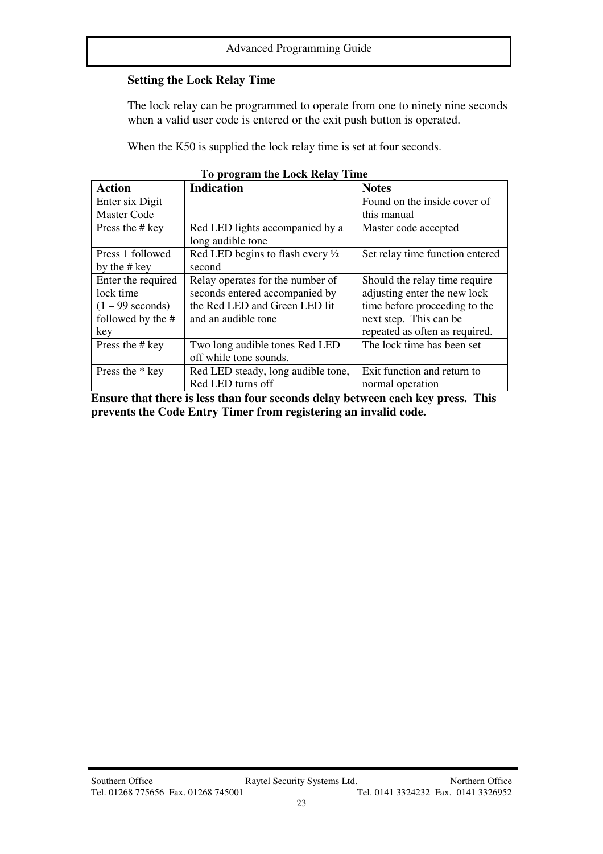# **Setting the Lock Relay Time**

The lock relay can be programmed to operate from one to ninety nine seconds when a valid user code is entered or the exit push button is operated.

When the K50 is supplied the lock relay time is set at four seconds.

| To program the Lock Relay Time |                                             |                                 |  |  |
|--------------------------------|---------------------------------------------|---------------------------------|--|--|
| <b>Action</b>                  | <b>Indication</b>                           | <b>Notes</b>                    |  |  |
| Enter six Digit                |                                             | Found on the inside cover of    |  |  |
| <b>Master Code</b>             |                                             | this manual                     |  |  |
| Press the # key                | Red LED lights accompanied by a             | Master code accepted            |  |  |
|                                | long audible tone                           |                                 |  |  |
| Press 1 followed               | Red LED begins to flash every $\frac{1}{2}$ | Set relay time function entered |  |  |
| by the # key                   | second                                      |                                 |  |  |
| Enter the required             | Relay operates for the number of            | Should the relay time require   |  |  |
| lock time                      | seconds entered accompanied by              | adjusting enter the new lock    |  |  |
| $(1 - 99$ seconds)             | the Red LED and Green LED lit               | time before proceeding to the   |  |  |
| followed by the #              | and an audible tone                         | next step. This can be          |  |  |
| key                            |                                             | repeated as often as required.  |  |  |
| Press the # key                | Two long audible tones Red LED              | The lock time has been set      |  |  |
|                                | off while tone sounds.                      |                                 |  |  |
| Press the * key                | Red LED steady, long audible tone,          | Exit function and return to     |  |  |
|                                | Red LED turns off                           | normal operation                |  |  |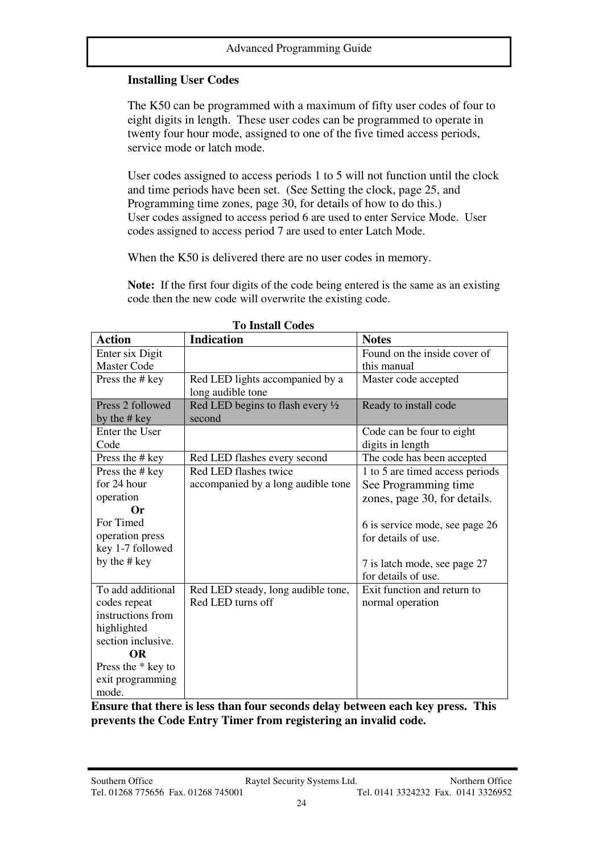# **Installing User Codes**

The K50 can be programmed with a maximum of fifty user codes of four to eight digits in length. These user codes can be programmed to operate in twenty four hour mode, assigned to one of the five timed access periods, service mode or latch mode.

User codes assigned to access periods 1 to 5 will not function until the clock and time periods have been set. (See Setting the clock, page 25, and Programming time zones, page 30, for details of how to do this.) User codes assigned to access period 6 are used to enter Service Mode. User codes assigned to access period 7 are used to enter Latch Mode.

When the K50 is delivered there are no user codes in memory.

**Note:** If the first four digits of the code being entered is the same as an existing code then the new code will overwrite the existing code.

| <b>Action</b>      | <b>Indication</b>                           | <b>Notes</b>                    |
|--------------------|---------------------------------------------|---------------------------------|
| Enter six Digit    |                                             | Found on the inside cover of    |
| <b>Master Code</b> |                                             | this manual                     |
| Press the # key    | Red LED lights accompanied by a             | Master code accepted            |
|                    | long audible tone                           |                                 |
| Press 2 followed   | Red LED begins to flash every $\frac{1}{2}$ | Ready to install code           |
| by the # key       | second                                      |                                 |
| Enter the User     |                                             | Code can be four to eight       |
| Code               |                                             | digits in length                |
| Press the # key    | Red LED flashes every second                | The code has been accepted      |
| Press the # key    | Red LED flashes twice                       | 1 to 5 are timed access periods |
| for 24 hour        | accompanied by a long audible tone          | See Programming time            |
| operation          |                                             | zones, page 30, for details.    |
| <b>Or</b>          |                                             |                                 |
| For Timed          |                                             | 6 is service mode, see page 26  |
| operation press    |                                             | for details of use.             |
| key 1-7 followed   |                                             |                                 |
| by the # key       |                                             | 7 is latch mode, see page 27    |
|                    |                                             | for details of use.             |
| To add additional  | Red LED steady, long audible tone,          | Exit function and return to     |
| codes repeat       | Red LED turns off                           | normal operation                |
| instructions from  |                                             |                                 |
| highlighted        |                                             |                                 |
| section inclusive. |                                             |                                 |
| <b>OR</b>          |                                             |                                 |
| Press the * key to |                                             |                                 |
| exit programming   |                                             |                                 |
| mode.              |                                             |                                 |

 **To Install Codes**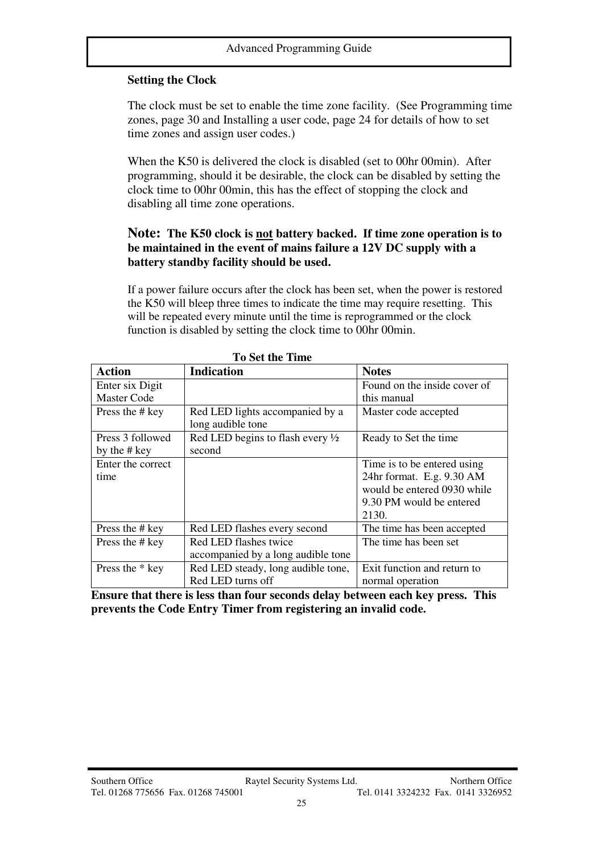### **Setting the Clock**

The clock must be set to enable the time zone facility. (See Programming time zones, page 30 and Installing a user code, page 24 for details of how to set time zones and assign user codes.)

When the K50 is delivered the clock is disabled (set to 00hr 00min). After programming, should it be desirable, the clock can be disabled by setting the clock time to 00hr 00min, this has the effect of stopping the clock and disabling all time zone operations.

#### **Note: The K50 clock is not battery backed. If time zone operation is to be maintained in the event of mains failure a 12V DC supply with a battery standby facility should be used.**

If a power failure occurs after the clock has been set, when the power is restored the K50 will bleep three times to indicate the time may require resetting. This will be repeated every minute until the time is reprogrammed or the clock function is disabled by setting the clock time to 00hr 00min.

| <b>Action</b>      | <b>Indication</b><br><b>Notes</b>           |                             |  |  |  |
|--------------------|---------------------------------------------|-----------------------------|--|--|--|
| Enter six Digit    | Found on the inside cover of                |                             |  |  |  |
| <b>Master Code</b> |                                             | this manual                 |  |  |  |
| Press the # key    | Red LED lights accompanied by a             | Master code accepted        |  |  |  |
|                    | long audible tone                           |                             |  |  |  |
| Press 3 followed   | Red LED begins to flash every $\frac{1}{2}$ | Ready to Set the time       |  |  |  |
| by the # key       | second                                      |                             |  |  |  |
| Enter the correct  |                                             | Time is to be entered using |  |  |  |
| time               |                                             | 24hr format. E.g. 9.30 AM   |  |  |  |
|                    |                                             | would be entered 0930 while |  |  |  |
|                    |                                             | 9.30 PM would be entered    |  |  |  |
|                    |                                             | 2130.                       |  |  |  |
| Press the # key    | Red LED flashes every second                | The time has been accepted  |  |  |  |
| Press the # key    | Red LED flashes twice                       | The time has been set       |  |  |  |
|                    | accompanied by a long audible tone          |                             |  |  |  |
| Press the * key    | Red LED steady, long audible tone,          | Exit function and return to |  |  |  |
|                    | Red LED turns off                           | normal operation            |  |  |  |

 **To Set the Time**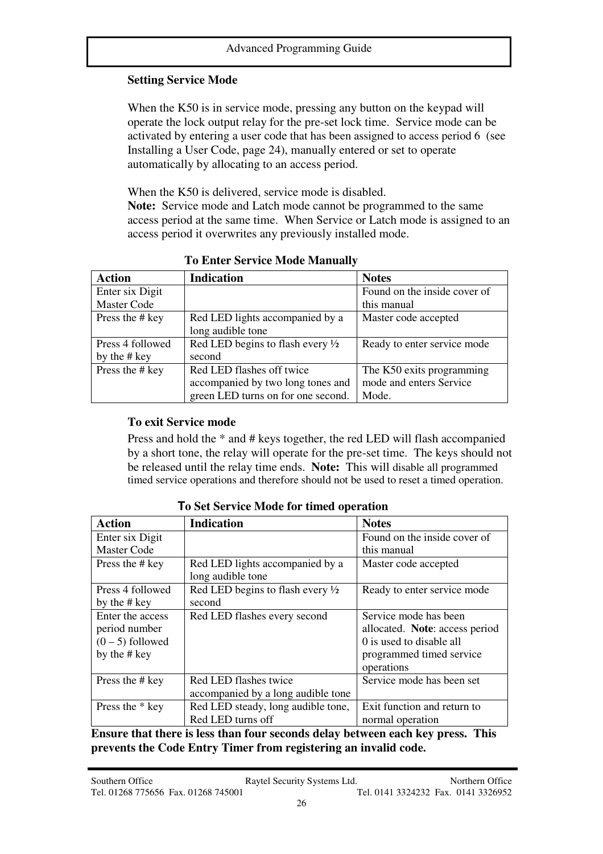# **Setting Service Mode**

When the K50 is in service mode, pressing any button on the keypad will operate the lock output relay for the pre-set lock time. Service mode can be activated by entering a user code that has been assigned to access period 6 (see Installing a User Code, page 24), manually entered or set to operate automatically by allocating to an access period.

When the K50 is delivered, service mode is disabled.

**Note:** Service mode and Latch mode cannot be programmed to the same access period at the same time. When Service or Latch mode is assigned to an access period it overwrites any previously installed mode.

| <b>Action</b>      | <b>Indication</b>                           | <b>Notes</b>                 |  |  |
|--------------------|---------------------------------------------|------------------------------|--|--|
| Enter six Digit    |                                             | Found on the inside cover of |  |  |
| <b>Master Code</b> |                                             | this manual                  |  |  |
| Press the # key    | Red LED lights accompanied by a             | Master code accepted         |  |  |
|                    | long audible tone                           |                              |  |  |
| Press 4 followed   | Red LED begins to flash every $\frac{1}{2}$ | Ready to enter service mode  |  |  |
| by the $#$ key     | second                                      |                              |  |  |
| Press the # key    | Red LED flashes off twice                   | The K50 exits programming    |  |  |
|                    | accompanied by two long tones and           | mode and enters Service      |  |  |
|                    | green LED turns on for one second.          | Mode.                        |  |  |

**To Enter Service Mode Manually** 

# **To exit Service mode**

Press and hold the \* and # keys together, the red LED will flash accompanied by a short tone, the relay will operate for the pre-set time. The keys should not be released until the relay time ends. **Note:** This will disable all programmed timed service operations and therefore should not be used to reset a timed operation.

| Action             | <b>Indication</b>                                    | <b>Notes</b>                   |  |  |
|--------------------|------------------------------------------------------|--------------------------------|--|--|
| Enter six Digit    |                                                      | Found on the inside cover of   |  |  |
| <b>Master Code</b> |                                                      | this manual                    |  |  |
| Press the # key    | Red LED lights accompanied by a<br>long audible tone | Master code accepted           |  |  |
| Press 4 followed   | Red LED begins to flash every $\frac{1}{2}$          | Ready to enter service mode    |  |  |
| by the # key       | second                                               |                                |  |  |
| Enter the access   | Red LED flashes every second                         | Service mode has been          |  |  |
| period number      |                                                      | allocated. Note: access period |  |  |
| $(0 - 5)$ followed |                                                      | 0 is used to disable all       |  |  |
| by the # key       |                                                      | programmed timed service       |  |  |
|                    |                                                      | operations                     |  |  |
| Press the # key    | Red LED flashes twice                                | Service mode has been set      |  |  |
|                    | accompanied by a long audible tone                   |                                |  |  |
| Press the * key    | Red LED steady, long audible tone,                   | Exit function and return to    |  |  |
|                    | Red LED turns off                                    | normal operation               |  |  |

**To Set Service Mode for timed operation**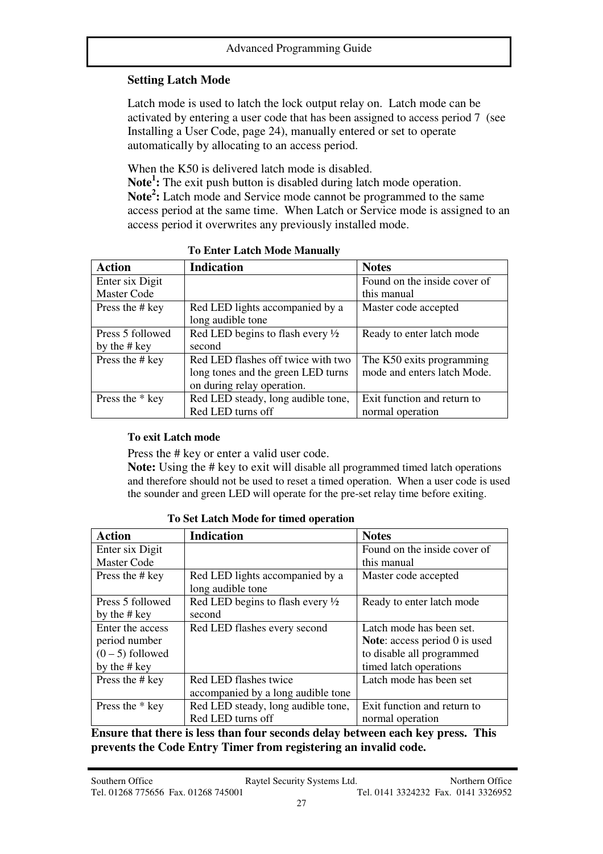# **Setting Latch Mode**

Latch mode is used to latch the lock output relay on. Latch mode can be activated by entering a user code that has been assigned to access period 7 (see Installing a User Code, page 24), manually entered or set to operate automatically by allocating to an access period.

When the K50 is delivered latch mode is disabled.

**Note<sup>1</sup> :** The exit push button is disabled during latch mode operation. **Note<sup>2</sup> :** Latch mode and Service mode cannot be programmed to the same access period at the same time. When Latch or Service mode is assigned to an access period it overwrites any previously installed mode.

| <b>Action</b>      | <b>Indication</b>                           | <b>Notes</b>                 |  |  |
|--------------------|---------------------------------------------|------------------------------|--|--|
| Enter six Digit    |                                             | Found on the inside cover of |  |  |
| <b>Master Code</b> |                                             | this manual                  |  |  |
| Press the # key    | Red LED lights accompanied by a             | Master code accepted         |  |  |
|                    | long audible tone                           |                              |  |  |
| Press 5 followed   | Red LED begins to flash every $\frac{1}{2}$ | Ready to enter latch mode    |  |  |
| by the # key       | second                                      |                              |  |  |
| Press the # key    | Red LED flashes off twice with two          | The K50 exits programming    |  |  |
|                    | long tones and the green LED turns          | mode and enters latch Mode.  |  |  |
|                    | on during relay operation.                  |                              |  |  |
| Press the * key    | Red LED steady, long audible tone,          | Exit function and return to  |  |  |
|                    | Red LED turns off                           | normal operation             |  |  |

**To Enter Latch Mode Manually** 

#### **To exit Latch mode**

Press the # key or enter a valid user code.

**Note:** Using the # key to exit will disable all programmed timed latch operations and therefore should not be used to reset a timed operation. When a user code is used the sounder and green LED will operate for the pre-set relay time before exiting.

| <b>Action</b>      | <b>Indication</b>                           | <b>Notes</b>                           |  |
|--------------------|---------------------------------------------|----------------------------------------|--|
| Enter six Digit    |                                             | Found on the inside cover of           |  |
| <b>Master Code</b> |                                             | this manual                            |  |
| Press the # key    | Red LED lights accompanied by a             | Master code accepted                   |  |
|                    | long audible tone                           |                                        |  |
| Press 5 followed   | Red LED begins to flash every $\frac{1}{2}$ | Ready to enter latch mode              |  |
| by the # key       | second                                      |                                        |  |
| Enter the access   | Red LED flashes every second                | Latch mode has been set.               |  |
| period number      |                                             | <b>Note:</b> access period $0$ is used |  |
| $(0-5)$ followed   | to disable all programmed                   |                                        |  |
| by the # key       |                                             | timed latch operations                 |  |
| Press the # key    | Red LED flashes twice                       | Latch mode has been set                |  |
|                    | accompanied by a long audible tone          |                                        |  |
| Press the * key    | Red LED steady, long audible tone,          | Exit function and return to            |  |
|                    | Red LED turns off                           | normal operation                       |  |

**To Set Latch Mode for timed operation**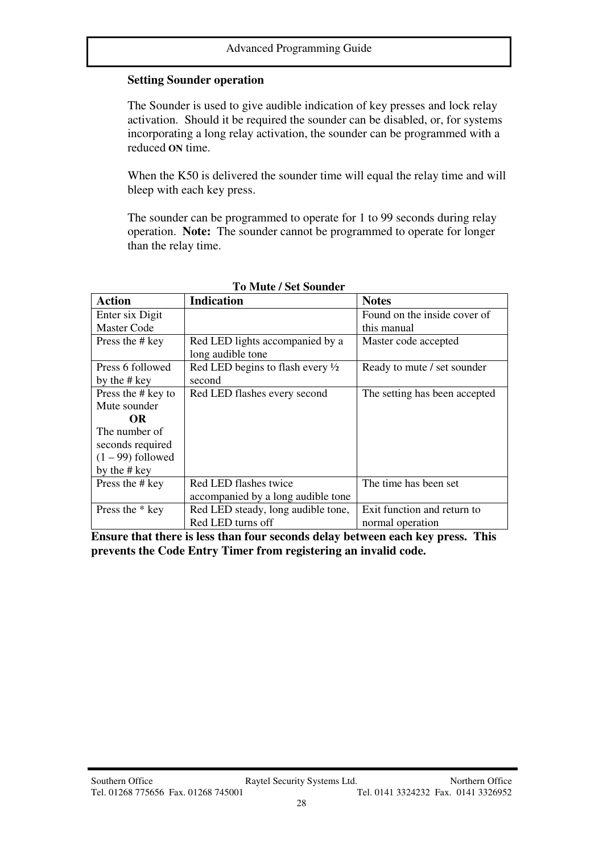#### **Setting Sounder operation**

The Sounder is used to give audible indication of key presses and lock relay activation. Should it be required the sounder can be disabled, or, for systems incorporating a long relay activation, the sounder can be programmed with a reduced **ON** time.

When the K50 is delivered the sounder time will equal the relay time and will bleep with each key press.

The sounder can be programmed to operate for 1 to 99 seconds during relay operation. **Note:** The sounder cannot be programmed to operate for longer than the relay time.

| <b>Action</b>       | <b>Indication</b>                  | <b>Notes</b>                  |  |  |
|---------------------|------------------------------------|-------------------------------|--|--|
| Enter six Digit     |                                    | Found on the inside cover of  |  |  |
| Master Code         |                                    | this manual                   |  |  |
| Press the # key     | Red LED lights accompanied by a    | Master code accepted          |  |  |
|                     | long audible tone                  |                               |  |  |
| Press 6 followed    | Red LED begins to flash every 1/2  | Ready to mute / set sounder   |  |  |
| by the # key        | second                             |                               |  |  |
| Press the # key to  | Red LED flashes every second       | The setting has been accepted |  |  |
| Mute sounder        |                                    |                               |  |  |
| <b>OR</b>           |                                    |                               |  |  |
| The number of       |                                    |                               |  |  |
| seconds required    |                                    |                               |  |  |
| $(1 - 99)$ followed |                                    |                               |  |  |
| by the # key        |                                    |                               |  |  |
| Press the # key     | Red LED flashes twice              | The time has been set         |  |  |
|                     | accompanied by a long audible tone |                               |  |  |
| Press the * key     | Red LED steady, long audible tone, | Exit function and return to   |  |  |
|                     | Red LED turns off                  | normal operation              |  |  |

#### **To Mute / Set Sounder**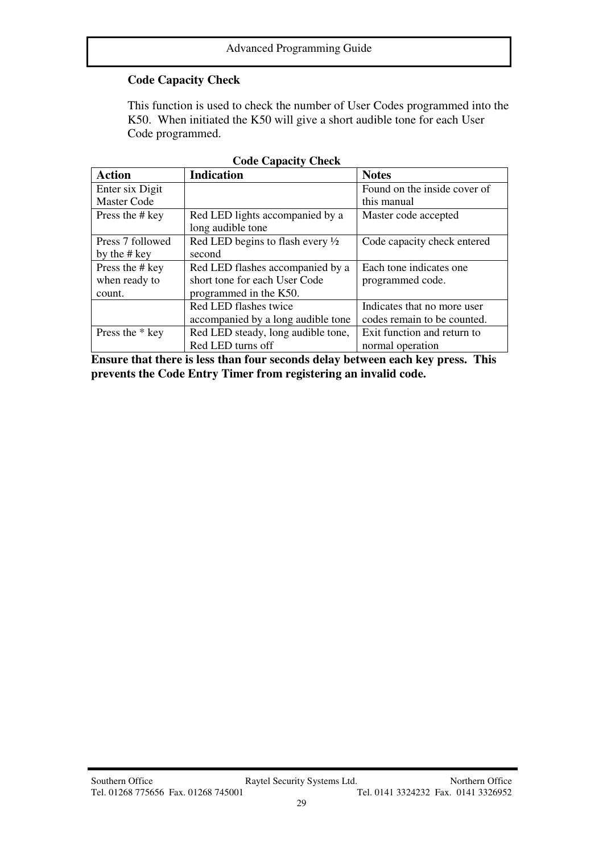# **Code Capacity Check**

This function is used to check the number of User Codes programmed into the K50. When initiated the K50 will give a short audible tone for each User Code programmed.

| <b>Action</b>      | <b>Indication</b>                           | <b>Notes</b>                 |  |  |  |
|--------------------|---------------------------------------------|------------------------------|--|--|--|
| Enter six Digit    |                                             | Found on the inside cover of |  |  |  |
| <b>Master Code</b> | this manual                                 |                              |  |  |  |
| Press the # key    | Red LED lights accompanied by a             | Master code accepted         |  |  |  |
|                    | long audible tone                           |                              |  |  |  |
| Press 7 followed   | Red LED begins to flash every $\frac{1}{2}$ | Code capacity check entered  |  |  |  |
| by the # key       | second                                      |                              |  |  |  |
| Press the # key    | Red LED flashes accompanied by a            | Each tone indicates one      |  |  |  |
| when ready to      | short tone for each User Code               | programmed code.             |  |  |  |
| count.             | programmed in the K50.                      |                              |  |  |  |
|                    | Red LED flashes twice                       | Indicates that no more user  |  |  |  |
|                    | accompanied by a long audible tone          | codes remain to be counted.  |  |  |  |
| Press the * key    | Red LED steady, long audible tone,          | Exit function and return to  |  |  |  |
|                    | Red LED turns off                           | normal operation             |  |  |  |

|  | <b>Code Capacity Check</b> |
|--|----------------------------|
|--|----------------------------|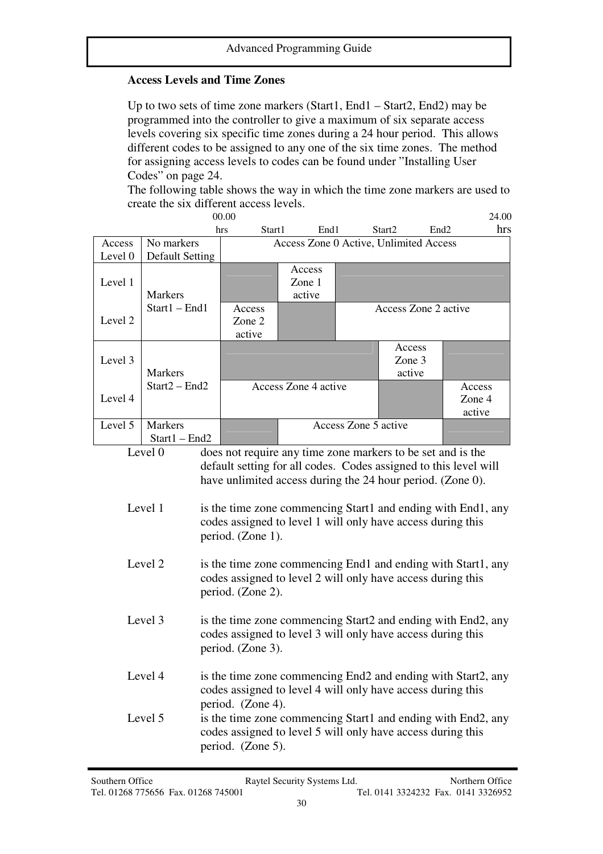#### **Access Levels and Time Zones**

Up to two sets of time zone markers (Start1, End1 – Start2, End2) may be programmed into the controller to give a maximum of six separate access levels covering six specific time zones during a 24 hour period. This allows different codes to be assigned to any one of the six time zones. The method for assigning access levels to codes can be found under "Installing User Codes" on page 24.

The following table shows the way in which the time zone markers are used to create the six different access levels.<br> $\frac{0000}{7}$ 

|                                                                  |                 | 00.00                                  |                                                             |                      |                      |                                                              | 24.00 |
|------------------------------------------------------------------|-----------------|----------------------------------------|-------------------------------------------------------------|----------------------|----------------------|--------------------------------------------------------------|-------|
|                                                                  |                 | Start1<br>hrs                          | End1                                                        |                      | Start <sub>2</sub>   | End <sub>2</sub>                                             | hrs   |
| Access                                                           | No markers      | Access Zone 0 Active, Unlimited Access |                                                             |                      |                      |                                                              |       |
| Level 0                                                          | Default Setting |                                        |                                                             |                      |                      |                                                              |       |
|                                                                  |                 |                                        | Access                                                      |                      |                      |                                                              |       |
| Level 1                                                          |                 |                                        | Zone 1                                                      |                      |                      |                                                              |       |
|                                                                  | <b>Markers</b>  |                                        | active                                                      |                      |                      |                                                              |       |
|                                                                  | Start1 - End1   | Access                                 |                                                             |                      | Access Zone 2 active |                                                              |       |
| Level 2                                                          |                 | Zone 2                                 |                                                             |                      |                      |                                                              |       |
|                                                                  |                 | active                                 |                                                             |                      |                      |                                                              |       |
|                                                                  |                 |                                        |                                                             |                      | Access               |                                                              |       |
| Level 3                                                          |                 |                                        |                                                             |                      | Zone 3               |                                                              |       |
|                                                                  | <b>Markers</b>  |                                        |                                                             |                      | active               |                                                              |       |
|                                                                  | $Start2 - End2$ |                                        | Access Zone 4 active                                        |                      |                      | Access                                                       |       |
| Level 4                                                          |                 |                                        |                                                             |                      |                      | Zone 4                                                       |       |
|                                                                  |                 |                                        |                                                             |                      |                      | active                                                       |       |
| Level 5                                                          | <b>Markers</b>  |                                        |                                                             | Access Zone 5 active |                      |                                                              |       |
|                                                                  | $Start1 - End2$ |                                        |                                                             |                      |                      |                                                              |       |
|                                                                  | Level 0         |                                        | does not require any time zone markers to be set and is the |                      |                      |                                                              |       |
| default setting for all codes. Codes assigned to this level will |                 |                                        |                                                             |                      |                      |                                                              |       |
| have unlimited access during the 24 hour period. (Zone 0).       |                 |                                        |                                                             |                      |                      |                                                              |       |
|                                                                  |                 |                                        |                                                             |                      |                      |                                                              |       |
|                                                                  | Level 1         |                                        |                                                             |                      |                      | is the time zone commencing Start1 and ending with End1, any |       |

| Level 1 | is the time zone commencing Start1 and ending with End1, any |
|---------|--------------------------------------------------------------|
|         | codes assigned to level 1 will only have access during this  |
|         | period. (Zone 1).                                            |

- Level 2 is the time zone commencing End1 and ending with Start1, any codes assigned to level 2 will only have access during this period. (Zone 2).
- Level 3 is the time zone commencing Start2 and ending with End2, any codes assigned to level 3 will only have access during this period. (Zone 3).
- Level 4 is the time zone commencing End2 and ending with Start2, any codes assigned to level 4 will only have access during this period. (Zone 4).
- Level 5 is the time zone commencing Start1 and ending with End2, any codes assigned to level 5 will only have access during this period. (Zone 5).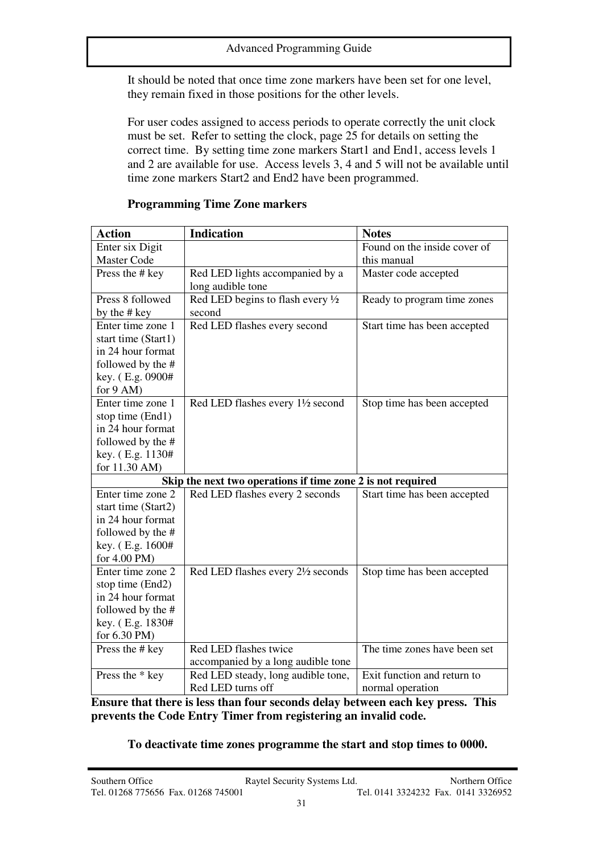It should be noted that once time zone markers have been set for one level, they remain fixed in those positions for the other levels.

For user codes assigned to access periods to operate correctly the unit clock must be set. Refer to setting the clock, page 25 for details on setting the correct time. By setting time zone markers Start1 and End1, access levels 1 and 2 are available for use. Access levels 3, 4 and 5 will not be available until time zone markers Start2 and End2 have been programmed.

| <b>Action</b>       | <b>Indication</b>                                           | <b>Notes</b>                 |  |  |  |
|---------------------|-------------------------------------------------------------|------------------------------|--|--|--|
| Enter six Digit     |                                                             | Found on the inside cover of |  |  |  |
| <b>Master Code</b>  |                                                             | this manual                  |  |  |  |
| Press the # key     | Red LED lights accompanied by a                             | Master code accepted         |  |  |  |
|                     | long audible tone                                           |                              |  |  |  |
| Press 8 followed    | Red LED begins to flash every 1/2                           | Ready to program time zones  |  |  |  |
| by the # key        | second                                                      |                              |  |  |  |
| Enter time zone 1   | Red LED flashes every second                                | Start time has been accepted |  |  |  |
| start time (Start1) |                                                             |                              |  |  |  |
| in 24 hour format   |                                                             |                              |  |  |  |
| followed by the #   |                                                             |                              |  |  |  |
| key. (E.g. 0900#    |                                                             |                              |  |  |  |
| for $9$ AM)         |                                                             |                              |  |  |  |
| Enter time zone 1   | Red LED flashes every 11/2 second                           | Stop time has been accepted  |  |  |  |
| stop time (End1)    |                                                             |                              |  |  |  |
| in 24 hour format   |                                                             |                              |  |  |  |
| followed by the #   |                                                             |                              |  |  |  |
| key. (E.g. 1130#    |                                                             |                              |  |  |  |
| for 11.30 AM)       |                                                             |                              |  |  |  |
|                     | Skip the next two operations if time zone 2 is not required |                              |  |  |  |
| Enter time zone 2   | Red LED flashes every 2 seconds                             | Start time has been accepted |  |  |  |
| start time (Start2) |                                                             |                              |  |  |  |
| in 24 hour format   |                                                             |                              |  |  |  |
| followed by the #   |                                                             |                              |  |  |  |
| key. (E.g. 1600#    |                                                             |                              |  |  |  |
| for 4.00 PM)        |                                                             |                              |  |  |  |
| Enter time zone 2   | Red LED flashes every 21/2 seconds                          | Stop time has been accepted  |  |  |  |
| stop time (End2)    |                                                             |                              |  |  |  |
| in 24 hour format   |                                                             |                              |  |  |  |
| followed by the #   |                                                             |                              |  |  |  |
| key. (E.g. 1830#    |                                                             |                              |  |  |  |
| for 6.30 PM)        |                                                             |                              |  |  |  |
| Press the # key     | Red LED flashes twice                                       | The time zones have been set |  |  |  |
|                     | accompanied by a long audible tone                          |                              |  |  |  |
| Press the * key     | Red LED steady, long audible tone,                          | Exit function and return to  |  |  |  |
|                     | Red LED turns off                                           | normal operation             |  |  |  |

#### **Programming Time Zone markers**

**Ensure that there is less than four seconds delay between each key press. This prevents the Code Entry Timer from registering an invalid code.**

#### **To deactivate time zones programme the start and stop times to 0000.**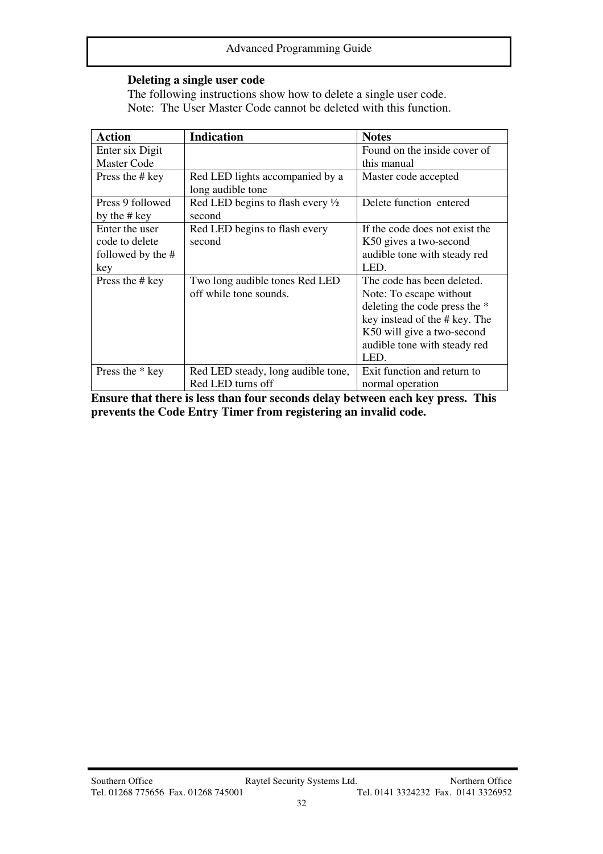### **Deleting a single user code**

The following instructions show how to delete a single user code. Note: The User Master Code cannot be deleted with this function.

| <b>Action</b>                                                | <b>Indication</b>                                        | <b>Notes</b>                                                                                                                                                                                  |
|--------------------------------------------------------------|----------------------------------------------------------|-----------------------------------------------------------------------------------------------------------------------------------------------------------------------------------------------|
| Enter six Digit                                              |                                                          | Found on the inside cover of                                                                                                                                                                  |
| <b>Master Code</b>                                           |                                                          | this manual                                                                                                                                                                                   |
| Press the # key                                              | Red LED lights accompanied by a<br>long audible tone     | Master code accepted                                                                                                                                                                          |
| Press 9 followed<br>by the # key                             | Red LED begins to flash every $\frac{1}{2}$<br>second    | Delete function entered                                                                                                                                                                       |
| Enter the user<br>code to delete<br>followed by the #<br>key | Red LED begins to flash every<br>second                  | If the code does not exist the<br>K50 gives a two-second<br>audible tone with steady red<br>LED.                                                                                              |
| Press the # key                                              | Two long audible tones Red LED<br>off while tone sounds. | The code has been deleted.<br>Note: To escape without<br>deleting the code press the *<br>key instead of the # key. The<br>K50 will give a two-second<br>audible tone with steady red<br>LED. |
| Press the * key                                              | Red LED steady, long audible tone,<br>Red LED turns off  | Exit function and return to<br>normal operation                                                                                                                                               |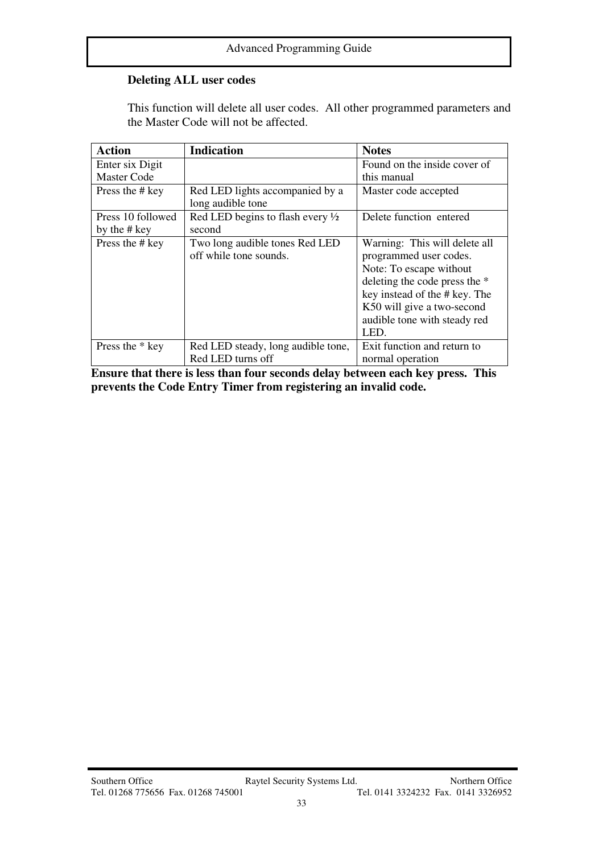# **Deleting ALL user codes**

This function will delete all user codes. All other programmed parameters and the Master Code will not be affected.

| <b>Action</b>      | <b>Indication</b>                                        | <b>Notes</b>                                            |
|--------------------|----------------------------------------------------------|---------------------------------------------------------|
| Enter six Digit    |                                                          | Found on the inside cover of                            |
| <b>Master Code</b> |                                                          | this manual                                             |
| Press the # key    | Red LED lights accompanied by a<br>long audible tone     | Master code accepted                                    |
| Press 10 followed  | Red LED begins to flash every $\frac{1}{2}$              | Delete function entered                                 |
| by the # key       | second                                                   |                                                         |
| Press the # key    | Two long audible tones Red LED<br>off while tone sounds. | Warning: This will delete all<br>programmed user codes. |
|                    |                                                          | Note: To escape without                                 |
|                    |                                                          | deleting the code press the *                           |
|                    |                                                          | key instead of the # key. The                           |
|                    |                                                          | K50 will give a two-second                              |
|                    |                                                          | audible tone with steady red                            |
|                    |                                                          | LED.                                                    |
| Press the * key    | Red LED steady, long audible tone,                       | Exit function and return to                             |
|                    | Red LED turns off                                        | normal operation                                        |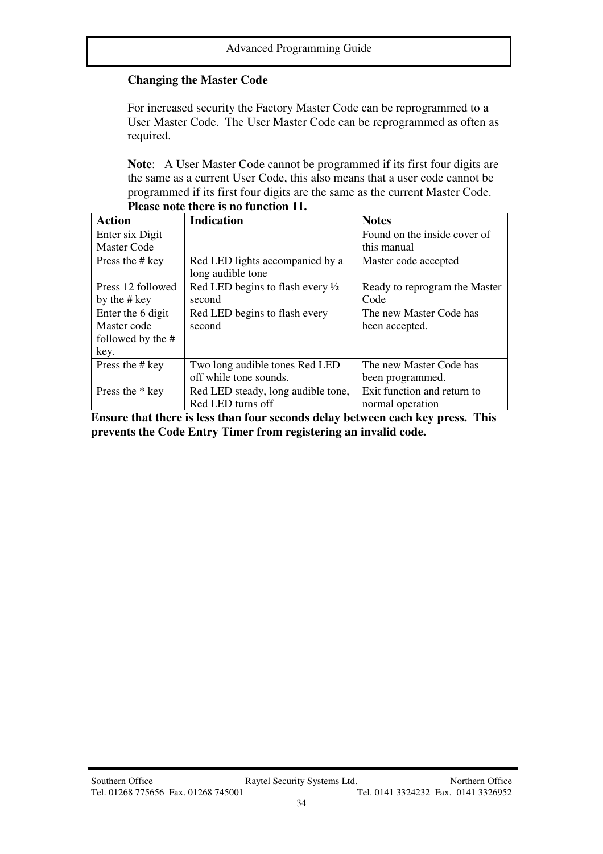# **Changing the Master Code**

For increased security the Factory Master Code can be reprogrammed to a User Master Code. The User Master Code can be reprogrammed as often as required.

**Note**: A User Master Code cannot be programmed if its first four digits are the same as a current User Code, this also means that a user code cannot be programmed if its first four digits are the same as the current Master Code. **Please note there is no function 11.** 

| <b>Action</b>      | <b>Indication</b>                           | <b>Notes</b>                  |
|--------------------|---------------------------------------------|-------------------------------|
| Enter six Digit    |                                             | Found on the inside cover of  |
| <b>Master Code</b> |                                             | this manual                   |
| Press the # key    | Red LED lights accompanied by a             | Master code accepted          |
|                    | long audible tone                           |                               |
| Press 12 followed  | Red LED begins to flash every $\frac{1}{2}$ | Ready to reprogram the Master |
| by the # key       | second                                      | Code                          |
| Enter the 6 digit  | Red LED begins to flash every               | The new Master Code has       |
| Master code        | second                                      | been accepted.                |
| followed by the #  |                                             |                               |
| key.               |                                             |                               |
| Press the # key    | Two long audible tones Red LED              | The new Master Code has       |
|                    | off while tone sounds.                      | been programmed.              |
| Press the * key    | Red LED steady, long audible tone,          | Exit function and return to   |
|                    | Red LED turns off                           | normal operation              |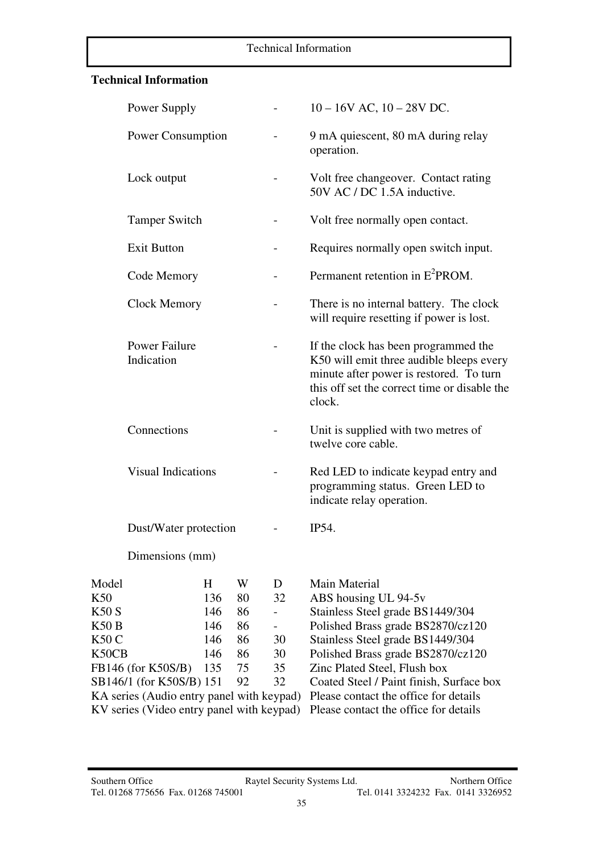#### Technical Information

# **Technical Information**

I

|                          | Power Supply                              |     |    | $10 - 16V$ AC, $10 - 28V$ DC.                                       |                                                                                                                                                                                       |  |  |  |
|--------------------------|-------------------------------------------|-----|----|---------------------------------------------------------------------|---------------------------------------------------------------------------------------------------------------------------------------------------------------------------------------|--|--|--|
| <b>Power Consumption</b> |                                           |     |    |                                                                     | 9 mA quiescent, 80 mA during relay<br>operation.                                                                                                                                      |  |  |  |
|                          | Lock output                               |     |    | Volt free changeover. Contact rating<br>50V AC / DC 1.5A inductive. |                                                                                                                                                                                       |  |  |  |
|                          | <b>Tamper Switch</b>                      |     |    |                                                                     | Volt free normally open contact.                                                                                                                                                      |  |  |  |
|                          | <b>Exit Button</b>                        |     |    |                                                                     | Requires normally open switch input.                                                                                                                                                  |  |  |  |
|                          | Code Memory                               |     |    |                                                                     | Permanent retention in E <sup>2</sup> PROM.                                                                                                                                           |  |  |  |
|                          | <b>Clock Memory</b>                       |     |    |                                                                     | There is no internal battery. The clock<br>will require resetting if power is lost.                                                                                                   |  |  |  |
|                          | <b>Power Failure</b><br>Indication        |     |    |                                                                     | If the clock has been programmed the<br>K50 will emit three audible bleeps every<br>minute after power is restored. To turn<br>this off set the correct time or disable the<br>clock. |  |  |  |
|                          | Connections                               |     |    |                                                                     | Unit is supplied with two metres of<br>twelve core cable.                                                                                                                             |  |  |  |
|                          | <b>Visual Indications</b>                 |     |    |                                                                     | Red LED to indicate keypad entry and<br>programming status. Green LED to<br>indicate relay operation.                                                                                 |  |  |  |
|                          | Dust/Water protection                     |     |    |                                                                     | <b>IP54.</b>                                                                                                                                                                          |  |  |  |
|                          | Dimensions (mm)                           |     |    |                                                                     |                                                                                                                                                                                       |  |  |  |
| Model                    |                                           | H   | W  | D                                                                   | Main Material                                                                                                                                                                         |  |  |  |
| K50                      |                                           | 136 | 80 | 32                                                                  | ABS housing UL 94-5v                                                                                                                                                                  |  |  |  |
| K50 S                    |                                           | 146 | 86 |                                                                     | Stainless Steel grade BS1449/304                                                                                                                                                      |  |  |  |
| K50 B                    |                                           | 146 | 86 |                                                                     | Polished Brass grade BS2870/cz120                                                                                                                                                     |  |  |  |
| K50 C                    |                                           | 146 | 86 | 30                                                                  | Stainless Steel grade BS1449/304                                                                                                                                                      |  |  |  |
|                          |                                           |     |    |                                                                     |                                                                                                                                                                                       |  |  |  |
| K50CB                    |                                           | 146 | 86 | 30                                                                  | Polished Brass grade BS2870/cz120                                                                                                                                                     |  |  |  |
|                          | FB146 (for K50S/B)                        | 135 | 75 | 35                                                                  | Zinc Plated Steel, Flush box                                                                                                                                                          |  |  |  |
|                          | SB146/1 (for K50S/B) 151                  |     | 92 | 32                                                                  | Coated Steel / Paint finish, Surface box                                                                                                                                              |  |  |  |
|                          | KA series (Audio entry panel with keypad) |     |    |                                                                     | Please contact the office for details                                                                                                                                                 |  |  |  |
|                          | KV series (Video entry panel with keypad) |     |    |                                                                     | Please contact the office for details                                                                                                                                                 |  |  |  |